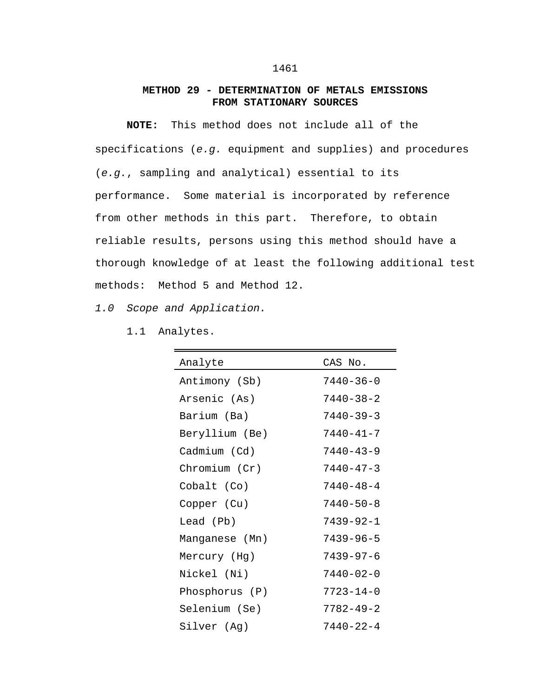## **METHOD 29 - DETERMINATION OF METALS EMISSIONS FROM STATIONARY SOURCES**

**NOTE:** This method does not include all of the specifications (*e.g.* equipment and supplies) and procedures (*e.g.*, sampling and analytical) essential to its performance. Some material is incorporated by reference from other methods in this part. Therefore, to obtain reliable results, persons using this method should have a thorough knowledge of at least the following additional test methods: Method 5 and Method 12.

*1.0 Scope and Application.*

1.1 Analytes.

| Analyte        | CAS No.         |
|----------------|-----------------|
| Antimony (Sb)  | 7440-36-0       |
| Arsenic (As)   | 7440-38-2       |
| Barium (Ba)    | 7440-39-3       |
| Beryllium (Be) | 7440-41-7       |
| Cadmium (Cd)   | 7440-43-9       |
| Chromium (Cr)  | $7440 - 47 - 3$ |
| Cobalt (Co)    | 7440-48-4       |
| Copper (Cu)    | $7440 - 50 - 8$ |
| Lead (Pb)      | 7439-92-1       |
| Manganese (Mn) | $7439 - 96 - 5$ |
| Mercury (Hg)   | $7439 - 97 - 6$ |
| Nickel (Ni)    | 7440-02-0       |
| Phosphorus (P) | 7723-14-0       |
| Selenium (Se)  | $7782 - 49 - 2$ |
| Silver (Ag)    | $7440 - 22 - 4$ |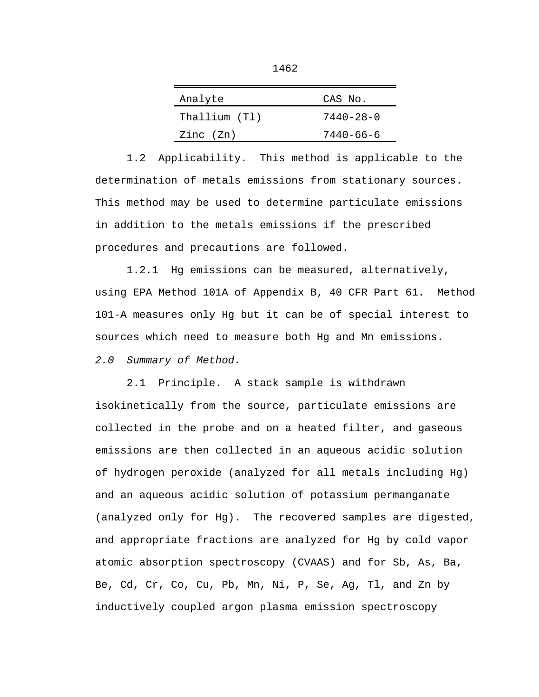| Analyte       | CAS No.         |
|---------------|-----------------|
| Thallium (Tl) | $7440 - 28 - 0$ |
| Zinc (Zn)     | $7440 - 66 - 6$ |

1.2 Applicability. This method is applicable to the determination of metals emissions from stationary sources. This method may be used to determine particulate emissions in addition to the metals emissions if the prescribed procedures and precautions are followed.

1.2.1 Hg emissions can be measured, alternatively, using EPA Method 101A of Appendix B, 40 CFR Part 61. Method 101-A measures only Hg but it can be of special interest to sources which need to measure both Hg and Mn emissions.

*2.0 Summary of Method.*

2.1 Principle. A stack sample is withdrawn isokinetically from the source, particulate emissions are collected in the probe and on a heated filter, and gaseous emissions are then collected in an aqueous acidic solution of hydrogen peroxide (analyzed for all metals including Hg) and an aqueous acidic solution of potassium permanganate (analyzed only for Hg). The recovered samples are digested, and appropriate fractions are analyzed for Hg by cold vapor atomic absorption spectroscopy (CVAAS) and for Sb, As, Ba, Be, Cd, Cr, Co, Cu, Pb, Mn, Ni, P, Se, Ag, Tl, and Zn by inductively coupled argon plasma emission spectroscopy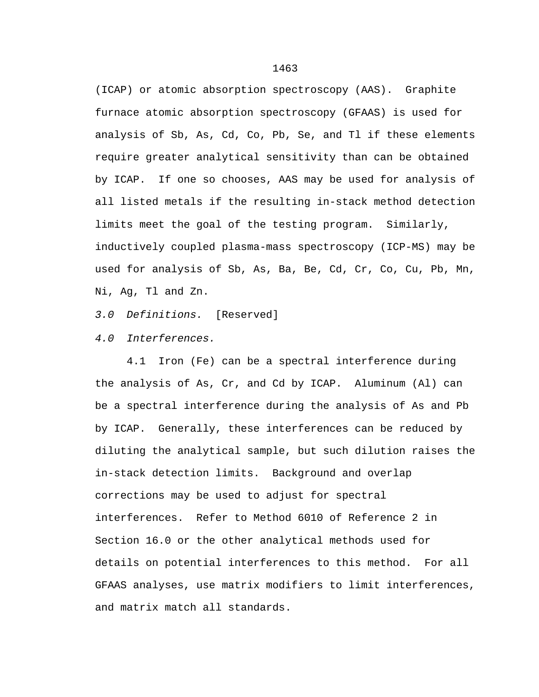(ICAP) or atomic absorption spectroscopy (AAS). Graphite furnace atomic absorption spectroscopy (GFAAS) is used for analysis of Sb, As, Cd, Co, Pb, Se, and Tl if these elements require greater analytical sensitivity than can be obtained by ICAP. If one so chooses, AAS may be used for analysis of all listed metals if the resulting in-stack method detection limits meet the goal of the testing program. Similarly, inductively coupled plasma-mass spectroscopy (ICP-MS) may be used for analysis of Sb, As, Ba, Be, Cd, Cr, Co, Cu, Pb, Mn, Ni, Ag, Tl and Zn.

*3.0 Definitions.* [Reserved]

*4.0 Interferences.*

4.1 Iron (Fe) can be a spectral interference during the analysis of As, Cr, and Cd by ICAP. Aluminum (Al) can be a spectral interference during the analysis of As and Pb by ICAP. Generally, these interferences can be reduced by diluting the analytical sample, but such dilution raises the in-stack detection limits. Background and overlap corrections may be used to adjust for spectral interferences. Refer to Method 6010 of Reference 2 in Section 16.0 or the other analytical methods used for details on potential interferences to this method. For all GFAAS analyses, use matrix modifiers to limit interferences, and matrix match all standards.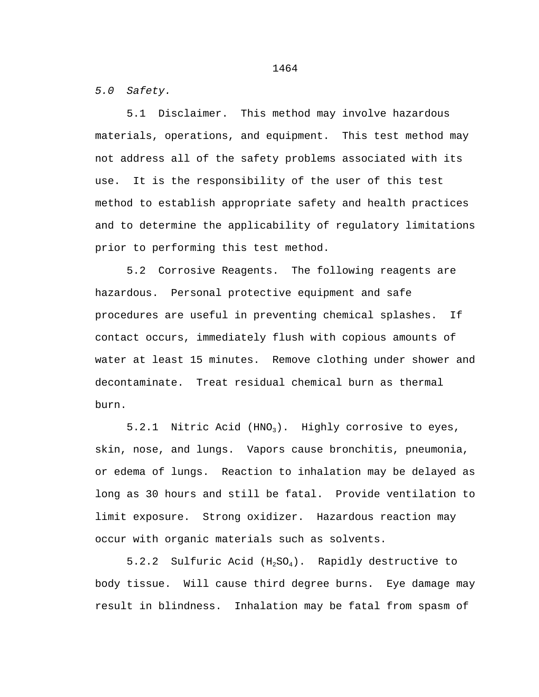*5.0 Safety.*

5.1 Disclaimer. This method may involve hazardous materials, operations, and equipment. This test method may not address all of the safety problems associated with its use. It is the responsibility of the user of this test method to establish appropriate safety and health practices and to determine the applicability of regulatory limitations prior to performing this test method.

5.2 Corrosive Reagents. The following reagents are hazardous. Personal protective equipment and safe procedures are useful in preventing chemical splashes. If contact occurs, immediately flush with copious amounts of water at least 15 minutes. Remove clothing under shower and decontaminate. Treat residual chemical burn as thermal burn.

5.2.1 Nitric Acid (HNO<sub>3</sub>). Highly corrosive to eyes, skin, nose, and lungs. Vapors cause bronchitis, pneumonia, or edema of lungs. Reaction to inhalation may be delayed as long as 30 hours and still be fatal. Provide ventilation to limit exposure. Strong oxidizer. Hazardous reaction may occur with organic materials such as solvents.

5.2.2 Sulfuric Acid  $(H_2SO_4)$ . Rapidly destructive to body tissue. Will cause third degree burns. Eye damage may result in blindness. Inhalation may be fatal from spasm of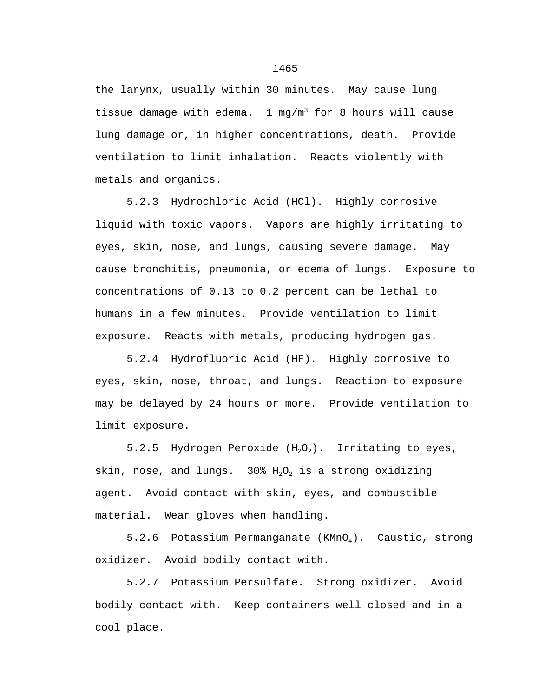the larynx, usually within 30 minutes. May cause lung tissue damage with edema. 1 mg/m<sup>3</sup> for 8 hours will cause lung damage or, in higher concentrations, death. Provide ventilation to limit inhalation. Reacts violently with metals and organics.

5.2.3 Hydrochloric Acid (HCl). Highly corrosive liquid with toxic vapors. Vapors are highly irritating to eyes, skin, nose, and lungs, causing severe damage. May cause bronchitis, pneumonia, or edema of lungs. Exposure to concentrations of 0.13 to 0.2 percent can be lethal to humans in a few minutes. Provide ventilation to limit exposure. Reacts with metals, producing hydrogen gas.

5.2.4 Hydrofluoric Acid (HF). Highly corrosive to eyes, skin, nose, throat, and lungs. Reaction to exposure may be delayed by 24 hours or more. Provide ventilation to limit exposure.

5.2.5 Hydrogen Peroxide  $(H_2O_2)$ . Irritating to eyes, skin, nose, and lungs. 30%  $H_2O_2$  is a strong oxidizing agent. Avoid contact with skin, eyes, and combustible material. Wear gloves when handling.

5.2.6 Potassium Permanganate  $(KMnO<sub>4</sub>)$ . Caustic, strong oxidizer. Avoid bodily contact with.

5.2.7 Potassium Persulfate. Strong oxidizer. Avoid bodily contact with. Keep containers well closed and in a cool place.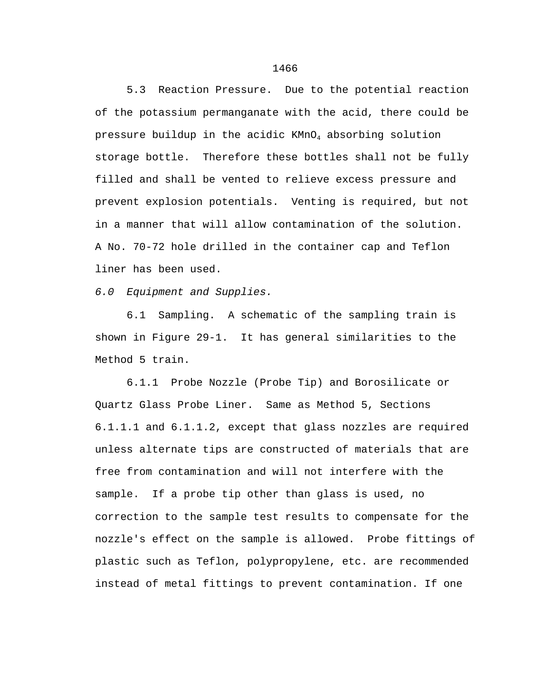5.3 Reaction Pressure. Due to the potential reaction of the potassium permanganate with the acid, there could be pressure buildup in the acidic KMnO4 absorbing solution storage bottle. Therefore these bottles shall not be fully filled and shall be vented to relieve excess pressure and prevent explosion potentials. Venting is required, but not in a manner that will allow contamination of the solution. A No. 70-72 hole drilled in the container cap and Teflon liner has been used.

*6.0 Equipment and Supplies.*

6.1 Sampling. A schematic of the sampling train is shown in Figure 29-1. It has general similarities to the Method 5 train.

6.1.1 Probe Nozzle (Probe Tip) and Borosilicate or Quartz Glass Probe Liner. Same as Method 5, Sections 6.1.1.1 and 6.1.1.2, except that glass nozzles are required unless alternate tips are constructed of materials that are free from contamination and will not interfere with the sample. If a probe tip other than glass is used, no correction to the sample test results to compensate for the nozzle's effect on the sample is allowed. Probe fittings of plastic such as Teflon, polypropylene, etc. are recommended instead of metal fittings to prevent contamination. If one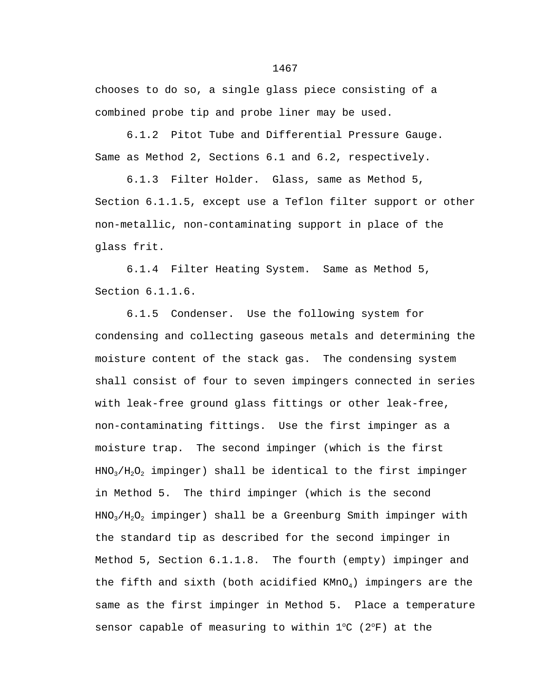chooses to do so, a single glass piece consisting of a combined probe tip and probe liner may be used.

6.1.2 Pitot Tube and Differential Pressure Gauge. Same as Method 2, Sections 6.1 and 6.2, respectively.

6.1.3 Filter Holder. Glass, same as Method 5, Section 6.1.1.5, except use a Teflon filter support or other non-metallic, non-contaminating support in place of the glass frit.

6.1.4 Filter Heating System. Same as Method 5, Section 6.1.1.6.

6.1.5 Condenser. Use the following system for condensing and collecting gaseous metals and determining the moisture content of the stack gas. The condensing system shall consist of four to seven impingers connected in series with leak-free ground glass fittings or other leak-free, non-contaminating fittings. Use the first impinger as a moisture trap. The second impinger (which is the first  $HNO<sub>3</sub>/H<sub>2</sub>O<sub>2</sub>$  impinger) shall be identical to the first impinger in Method 5. The third impinger (which is the second  $HNO<sub>3</sub>/H<sub>2</sub>O<sub>2</sub>$  impinger) shall be a Greenburg Smith impinger with the standard tip as described for the second impinger in Method 5, Section 6.1.1.8. The fourth (empty) impinger and the fifth and sixth (both acidified  $KMD<sub>4</sub>$ ) impingers are the same as the first impinger in Method 5. Place a temperature sensor capable of measuring to within  $1^{\circ}C$  ( $2^{\circ}F$ ) at the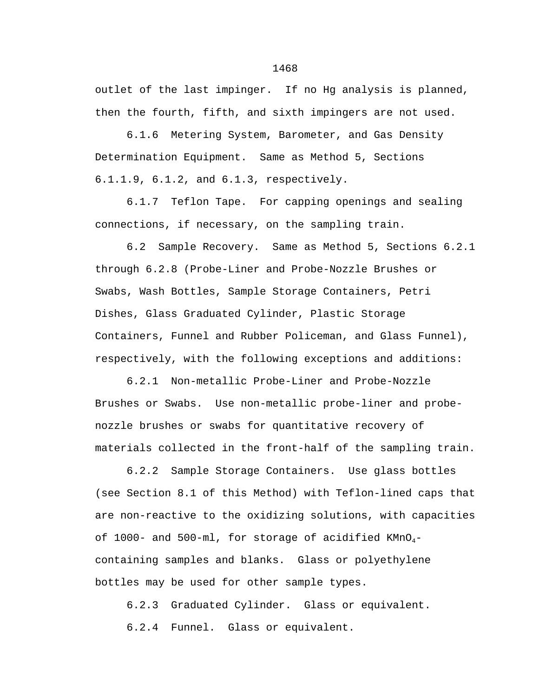outlet of the last impinger. If no Hg analysis is planned, then the fourth, fifth, and sixth impingers are not used.

6.1.6 Metering System, Barometer, and Gas Density Determination Equipment. Same as Method 5, Sections 6.1.1.9, 6.1.2, and 6.1.3, respectively.

6.1.7 Teflon Tape. For capping openings and sealing connections, if necessary, on the sampling train.

6.2 Sample Recovery. Same as Method 5, Sections 6.2.1 through 6.2.8 (Probe-Liner and Probe-Nozzle Brushes or Swabs, Wash Bottles, Sample Storage Containers, Petri Dishes, Glass Graduated Cylinder, Plastic Storage Containers, Funnel and Rubber Policeman, and Glass Funnel), respectively, with the following exceptions and additions:

6.2.1 Non-metallic Probe-Liner and Probe-Nozzle Brushes or Swabs. Use non-metallic probe-liner and probenozzle brushes or swabs for quantitative recovery of materials collected in the front-half of the sampling train.

6.2.2 Sample Storage Containers. Use glass bottles (see Section 8.1 of this Method) with Teflon-lined caps that are non-reactive to the oxidizing solutions, with capacities of 1000- and 500-ml, for storage of acidified  $KMD_{4}$ containing samples and blanks. Glass or polyethylene bottles may be used for other sample types.

6.2.3 Graduated Cylinder. Glass or equivalent. 6.2.4 Funnel. Glass or equivalent.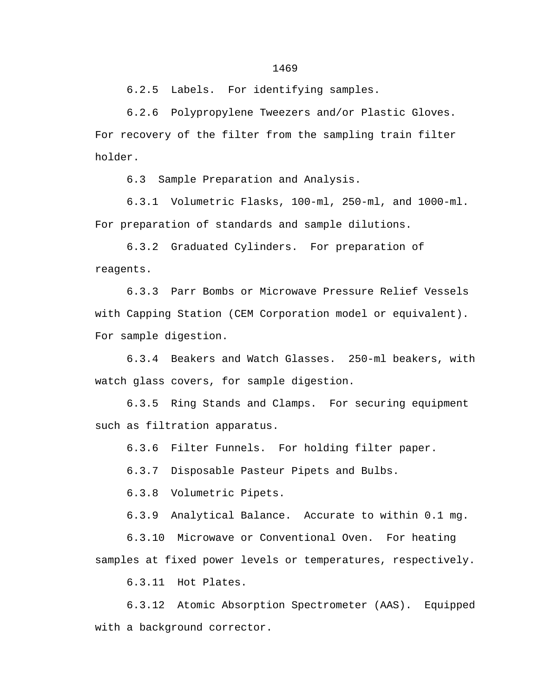6.2.5 Labels. For identifying samples.

6.2.6 Polypropylene Tweezers and/or Plastic Gloves. For recovery of the filter from the sampling train filter holder.

6.3 Sample Preparation and Analysis.

6.3.1 Volumetric Flasks, 100-ml, 250-ml, and 1000-ml. For preparation of standards and sample dilutions.

6.3.2 Graduated Cylinders. For preparation of reagents.

6.3.3 Parr Bombs or Microwave Pressure Relief Vessels with Capping Station (CEM Corporation model or equivalent). For sample digestion.

6.3.4 Beakers and Watch Glasses. 250-ml beakers, with watch glass covers, for sample digestion.

6.3.5 Ring Stands and Clamps. For securing equipment such as filtration apparatus.

6.3.6 Filter Funnels. For holding filter paper.

6.3.7 Disposable Pasteur Pipets and Bulbs.

6.3.8 Volumetric Pipets.

6.3.9 Analytical Balance. Accurate to within 0.1 mg.

6.3.10 Microwave or Conventional Oven. For heating samples at fixed power levels or temperatures, respectively.

6.3.11 Hot Plates.

6.3.12 Atomic Absorption Spectrometer (AAS). Equipped with a background corrector.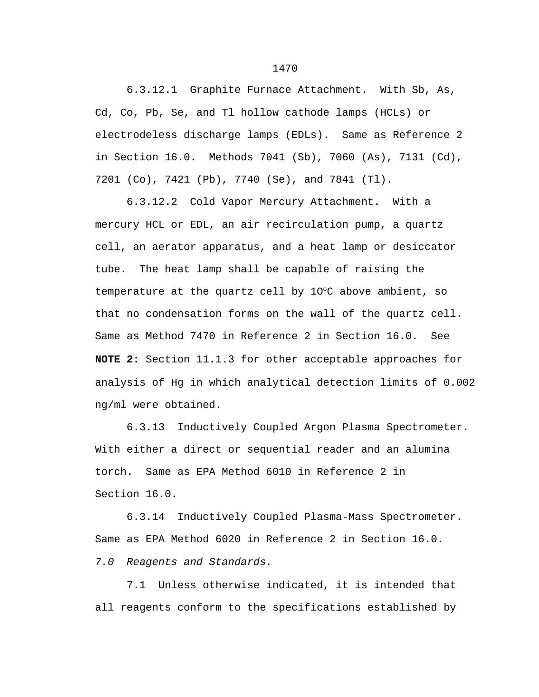6.3.12.1 Graphite Furnace Attachment. With Sb, As, Cd, Co, Pb, Se, and Tl hollow cathode lamps (HCLs) or electrodeless discharge lamps (EDLs). Same as Reference 2 in Section 16.0. Methods 7041 (Sb), 7060 (As), 7131 (Cd), 7201 (Co), 7421 (Pb), 7740 (Se), and 7841 (Tl).

6.3.12.2 Cold Vapor Mercury Attachment. With a mercury HCL or EDL, an air recirculation pump, a quartz cell, an aerator apparatus, and a heat lamp or desiccator tube. The heat lamp shall be capable of raising the temperature at the quartz cell by  $10^{\circ}$ C above ambient, so that no condensation forms on the wall of the quartz cell. Same as Method 7470 in Reference 2 in Section 16.0. See **NOTE 2:** Section 11.1.3 for other acceptable approaches for analysis of Hg in which analytical detection limits of 0.002 ng/ml were obtained.

6.3.13 Inductively Coupled Argon Plasma Spectrometer. With either a direct or sequential reader and an alumina torch. Same as EPA Method 6010 in Reference 2 in Section 16.0.

6.3.14 Inductively Coupled Plasma-Mass Spectrometer. Same as EPA Method 6020 in Reference 2 in Section 16.0.

*7.0 Reagents and Standards.*

7.1 Unless otherwise indicated, it is intended that all reagents conform to the specifications established by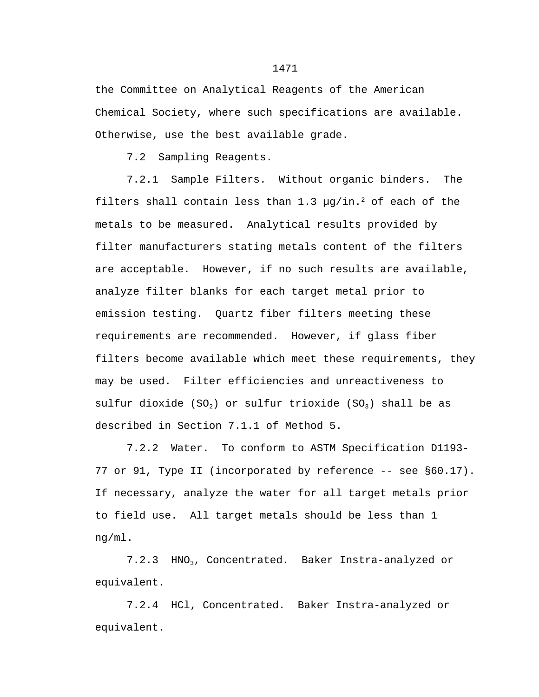the Committee on Analytical Reagents of the American Chemical Society, where such specifications are available. Otherwise, use the best available grade.

7.2 Sampling Reagents.

 7.2.1 Sample Filters. Without organic binders. The filters shall contain less than 1.3  $\mu q / \text{in.}^2$  of each of the metals to be measured. Analytical results provided by filter manufacturers stating metals content of the filters are acceptable. However, if no such results are available, analyze filter blanks for each target metal prior to emission testing. Quartz fiber filters meeting these requirements are recommended. However, if glass fiber filters become available which meet these requirements, they may be used. Filter efficiencies and unreactiveness to sulfur dioxide (SO<sub>2</sub>) or sulfur trioxide (SO<sub>3</sub>) shall be as described in Section 7.1.1 of Method 5.

7.2.2 Water. To conform to ASTM Specification D1193- 77 or 91, Type II (incorporated by reference -- see §60.17). If necessary, analyze the water for all target metals prior to field use. All target metals should be less than 1 ng/ml.

7.2.3 HNO<sub>3</sub>, Concentrated. Baker Instra-analyzed or equivalent.

7.2.4 HCl, Concentrated. Baker Instra-analyzed or equivalent.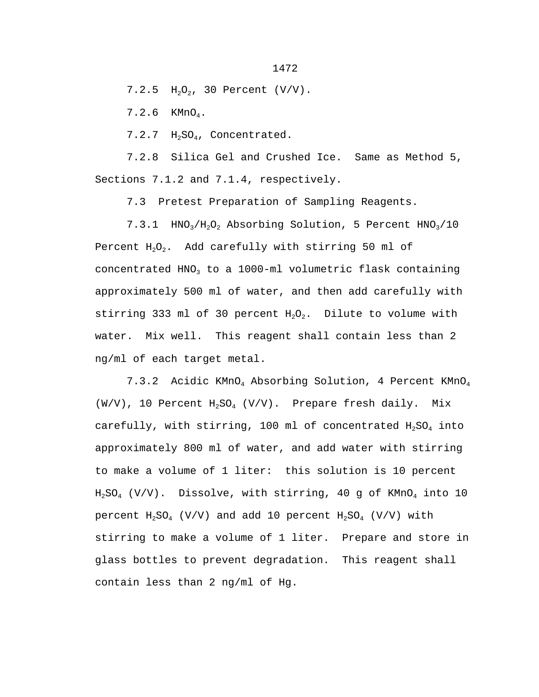1472

 $7.2.5$  H<sub>2</sub>O<sub>2</sub>, 30 Percent (V/V).

7.2.6 KMnO4.

7.2.7 H<sub>2</sub>SO<sub>4</sub>, Concentrated.

7.2.8 Silica Gel and Crushed Ice. Same as Method 5, Sections 7.1.2 and 7.1.4, respectively.

7.3 Pretest Preparation of Sampling Reagents.

7.3.1  $HNO<sub>3</sub>/H<sub>2</sub>O<sub>2</sub>$  Absorbing Solution, 5 Percent  $HNO<sub>3</sub>/10$ Percent  $H_2O_2$ . Add carefully with stirring 50 ml of concentrated HNO<sub>3</sub> to a 1000-ml volumetric flask containing approximately 500 ml of water, and then add carefully with stirring 333 ml of 30 percent  $H_2O_2$ . Dilute to volume with water. Mix well. This reagent shall contain less than 2 ng/ml of each target metal.

7.3.2 Acidic KMnO<sub>4</sub> Absorbing Solution, 4 Percent KMnO<sub>4</sub>  $(W/V)$ , 10 Percent  $H_2SO_4$  (V/V). Prepare fresh daily. Mix carefully, with stirring, 100 ml of concentrated  $H_2SO_4$  into approximately 800 ml of water, and add water with stirring to make a volume of 1 liter: this solution is 10 percent  $H_2SO_4$  (V/V). Dissolve, with stirring, 40 g of KMnO<sub>4</sub> into 10 percent  $H_2SO_4$  (V/V) and add 10 percent  $H_2SO_4$  (V/V) with stirring to make a volume of 1 liter. Prepare and store in glass bottles to prevent degradation. This reagent shall contain less than 2 ng/ml of Hg.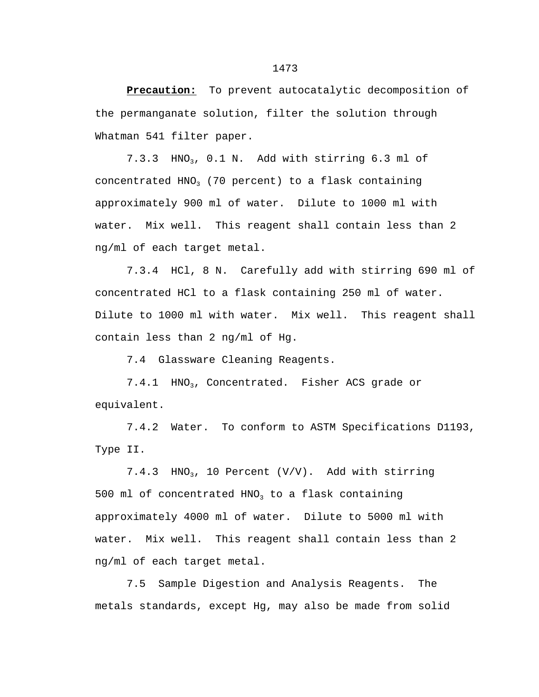**Precaution:** To prevent autocatalytic decomposition of the permanganate solution, filter the solution through Whatman 541 filter paper.

 $7.3.3$  HNO<sub>3</sub>,  $0.1$  N. Add with stirring  $6.3$  ml of concentrated  $HNO<sub>3</sub>$  (70 percent) to a flask containing approximately 900 ml of water. Dilute to 1000 ml with water. Mix well. This reagent shall contain less than 2 ng/ml of each target metal.

7.3.4 HCl, 8 N. Carefully add with stirring 690 ml of concentrated HCl to a flask containing 250 ml of water. Dilute to 1000 ml with water. Mix well. This reagent shall contain less than 2 ng/ml of Hg.

7.4 Glassware Cleaning Reagents.

7.4.1 HNO<sub>3</sub>, Concentrated. Fisher ACS grade or equivalent.

7.4.2 Water. To conform to ASTM Specifications D1193, Type II.

7.4.3 HNO<sub>3</sub>, 10 Percent  $(V/V)$ . Add with stirring 500 ml of concentrated  $HNO<sub>3</sub>$  to a flask containing approximately 4000 ml of water. Dilute to 5000 ml with water. Mix well. This reagent shall contain less than 2 ng/ml of each target metal.

7.5 Sample Digestion and Analysis Reagents. The metals standards, except Hg, may also be made from solid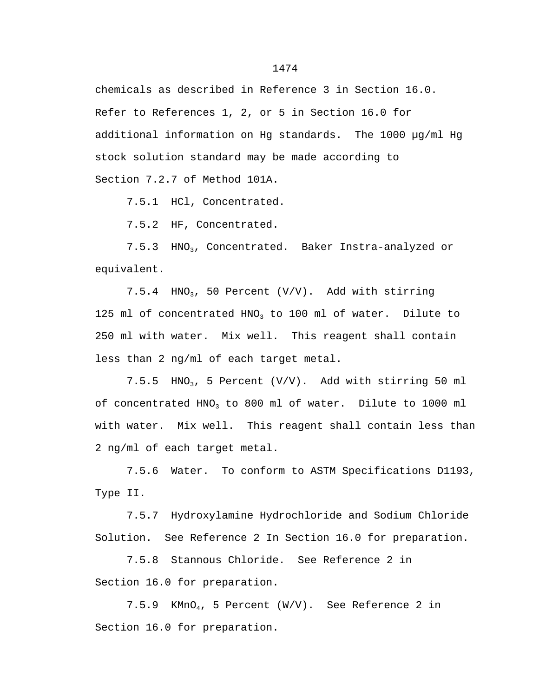chemicals as described in Reference 3 in Section 16.0. Refer to References 1, 2, or 5 in Section 16.0 for additional information on Hg standards. The 1000 µg/ml Hg stock solution standard may be made according to Section 7.2.7 of Method 101A.

7.5.1 HCl, Concentrated.

7.5.2 HF, Concentrated.

7.5.3 HNO<sub>3</sub>, Concentrated. Baker Instra-analyzed or equivalent.

7.5.4 HNO<sub>3</sub>, 50 Percent  $(V/V)$ . Add with stirring 125 ml of concentrated HNO<sub>3</sub> to 100 ml of water. Dilute to 250 ml with water. Mix well. This reagent shall contain less than 2 ng/ml of each target metal.

7.5.5  $HNO<sub>3</sub>$ , 5 Percent (V/V). Add with stirring 50 ml of concentrated HNO3 to 800 ml of water. Dilute to 1000 ml with water. Mix well. This reagent shall contain less than 2 ng/ml of each target metal.

7.5.6 Water. To conform to ASTM Specifications D1193, Type II.

7.5.7 Hydroxylamine Hydrochloride and Sodium Chloride Solution. See Reference 2 In Section 16.0 for preparation.

7.5.8 Stannous Chloride. See Reference 2 in Section 16.0 for preparation.

7.5.9 KMnO4, 5 Percent (W/V). See Reference 2 in Section 16.0 for preparation.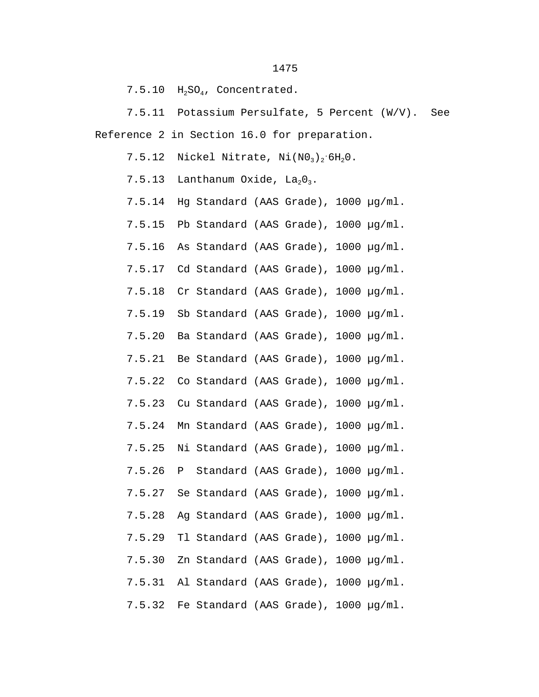7.5.10 H<sub>2</sub>SO<sub>4</sub>, Concentrated.

7.5.11 Potassium Persulfate, 5 Percent (W/V). See Reference 2 in Section 16.0 for preparation.

7.5.12 Nickel Nitrate,  $Ni(MO_3)_2.6H_2O$ .

7.5.13 Lanthanum Oxide,  $La<sub>2</sub>O<sub>3</sub>$ .

7.5.14 Hg Standard (AAS Grade), 1000 µg/ml.

7.5.15 Pb Standard (AAS Grade), 1000 µg/ml.

7.5.16 As Standard (AAS Grade), 1000 µg/ml.

7.5.17 Cd Standard (AAS Grade), 1000 µg/ml.

7.5.18 Cr Standard (AAS Grade), 1000 µg/ml.

7.5.19 Sb Standard (AAS Grade), 1000 µg/ml.

7.5.20 Ba Standard (AAS Grade), 1000 µg/ml.

7.5.21 Be Standard (AAS Grade), 1000 µg/ml.

7.5.22 Co Standard (AAS Grade), 1000 µg/ml.

7.5.23 Cu Standard (AAS Grade), 1000 µg/ml.

7.5.24 Mn Standard (AAS Grade), 1000 µg/ml.

7.5.25 Ni Standard (AAS Grade), 1000 µg/ml.

7.5.26 P Standard (AAS Grade), 1000 µg/ml.

7.5.27 Se Standard (AAS Grade), 1000 µg/ml.

7.5.28 Ag Standard (AAS Grade), 1000 µg/ml.

7.5.29 Tl Standard (AAS Grade), 1000 µg/ml.

7.5.30 Zn Standard (AAS Grade), 1000 µg/ml.

7.5.31 Al Standard (AAS Grade), 1000 µg/ml.

7.5.32 Fe Standard (AAS Grade), 1000 µg/ml.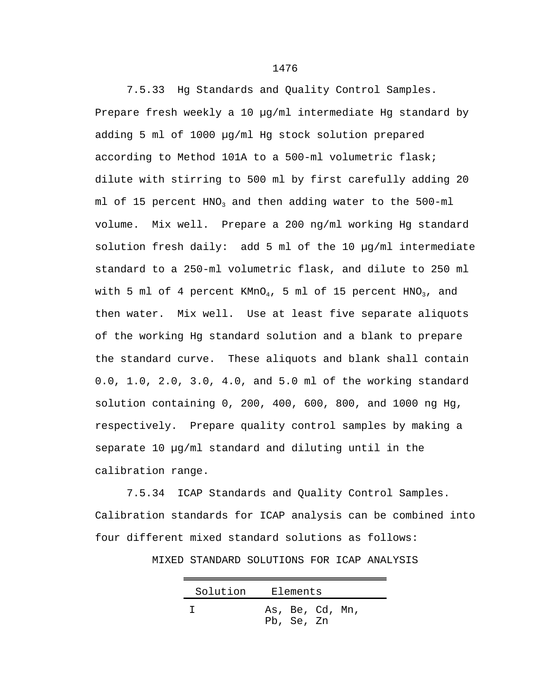7.5.33 Hg Standards and Quality Control Samples. Prepare fresh weekly a 10 µg/ml intermediate Hg standard by adding 5 ml of 1000 µg/ml Hg stock solution prepared according to Method 101A to a 500-ml volumetric flask; dilute with stirring to 500 ml by first carefully adding 20 ml of 15 percent  $HNO<sub>3</sub>$  and then adding water to the 500-ml volume. Mix well. Prepare a 200 ng/ml working Hg standard solution fresh daily: add 5 ml of the 10 µg/ml intermediate standard to a 250-ml volumetric flask, and dilute to 250 ml with 5 ml of 4 percent  $KMD<sub>4</sub>$ , 5 ml of 15 percent  $HNO<sub>3</sub>$ , and then water. Mix well. Use at least five separate aliquots of the working Hg standard solution and a blank to prepare the standard curve. These aliquots and blank shall contain 0.0, 1.0, 2.0, 3.0, 4.0, and 5.0 ml of the working standard solution containing 0, 200, 400, 600, 800, and 1000 ng Hg, respectively. Prepare quality control samples by making a separate 10 µg/ml standard and diluting until in the calibration range.

7.5.34 ICAP Standards and Quality Control Samples. Calibration standards for ICAP analysis can be combined into four different mixed standard solutions as follows:

MIXED STANDARD SOLUTIONS FOR ICAP ANALYSIS

| Solution | Elements                      |
|----------|-------------------------------|
|          | As, Be, Cd, Mn,<br>Pb, Se, Zn |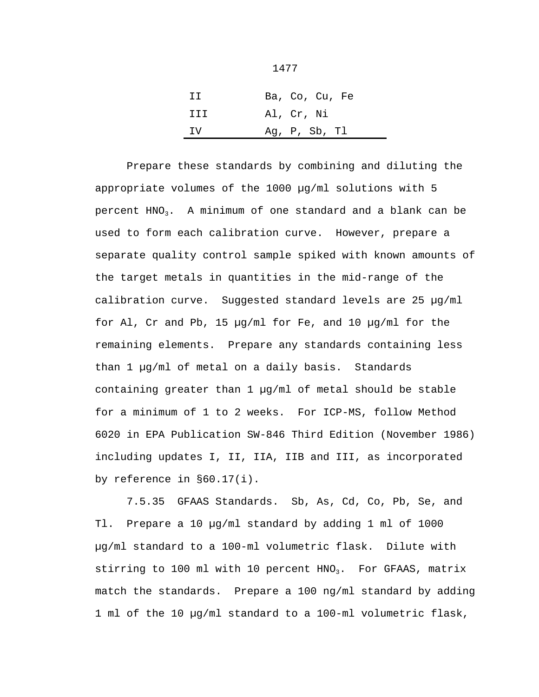| TT. | Ba, Co, Cu, Fe |
|-----|----------------|
| TTT | Al, Cr, Ni     |
| TV. | Ag, P, Sb, Tl  |

Prepare these standards by combining and diluting the appropriate volumes of the 1000 µg/ml solutions with 5 percent  $HNO<sub>3</sub>$ . A minimum of one standard and a blank can be used to form each calibration curve. However, prepare a separate quality control sample spiked with known amounts of the target metals in quantities in the mid-range of the calibration curve. Suggested standard levels are 25 µg/ml for Al, Cr and Pb, 15 µg/ml for Fe, and 10 µg/ml for the remaining elements. Prepare any standards containing less than 1 µg/ml of metal on a daily basis. Standards containing greater than 1 µg/ml of metal should be stable for a minimum of 1 to 2 weeks. For ICP-MS, follow Method 6020 in EPA Publication SW-846 Third Edition (November 1986) including updates I, II, IIA, IIB and III, as incorporated by reference in §60.17(i).

7.5.35 GFAAS Standards. Sb, As, Cd, Co, Pb, Se, and Tl. Prepare a 10 µg/ml standard by adding 1 ml of 1000 µg/ml standard to a 100-ml volumetric flask. Dilute with stirring to 100 ml with 10 percent  $HNO<sub>3</sub>$ . For GFAAS, matrix match the standards. Prepare a 100 ng/ml standard by adding 1 ml of the 10 µg/ml standard to a 100-ml volumetric flask,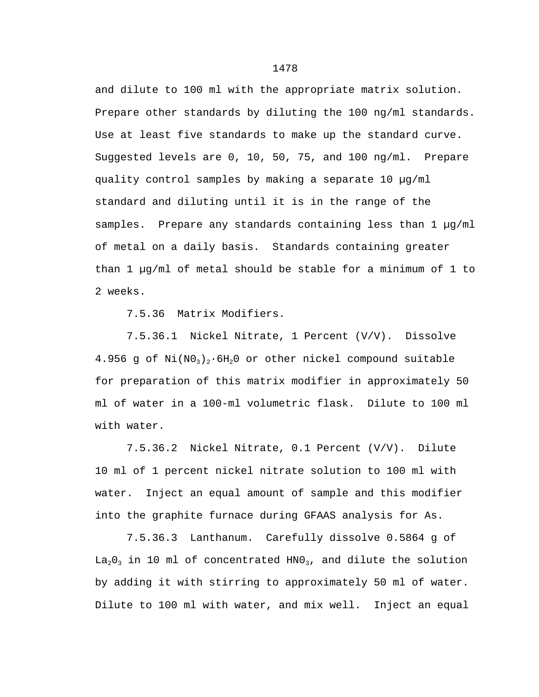and dilute to 100 ml with the appropriate matrix solution. Prepare other standards by diluting the 100 ng/ml standards. Use at least five standards to make up the standard curve. Suggested levels are 0, 10, 50, 75, and 100 ng/ml. Prepare quality control samples by making a separate 10 µg/ml standard and diluting until it is in the range of the samples. Prepare any standards containing less than 1 µq/ml of metal on a daily basis. Standards containing greater than 1  $\mu q$ /ml of metal should be stable for a minimum of 1 to 2 weeks.

7.5.36 Matrix Modifiers.

7.5.36.1 Nickel Nitrate, 1 Percent (V/V). Dissolve 4.956 g of  $Ni(N0<sub>3</sub>)$ , 6H<sub>2</sub>O or other nickel compound suitable for preparation of this matrix modifier in approximately 50 ml of water in a 100-ml volumetric flask. Dilute to 100 ml with water.

7.5.36.2 Nickel Nitrate, 0.1 Percent (V/V). Dilute 10 ml of 1 percent nickel nitrate solution to 100 ml with water. Inject an equal amount of sample and this modifier into the graphite furnace during GFAAS analysis for As.

7.5.36.3 Lanthanum. Carefully dissolve 0.5864 g of  $La<sub>2</sub>O<sub>3</sub>$  in 10 ml of concentrated HNO<sub>3</sub>, and dilute the solution by adding it with stirring to approximately 50 ml of water. Dilute to 100 ml with water, and mix well. Inject an equal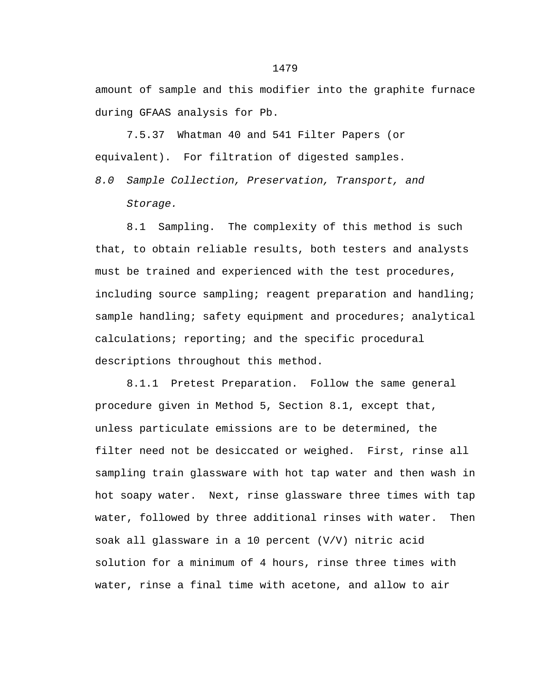amount of sample and this modifier into the graphite furnace during GFAAS analysis for Pb.

7.5.37 Whatman 40 and 541 Filter Papers (or equivalent). For filtration of digested samples.

*8.0 Sample Collection, Preservation, Transport, and Storage.*

8.1 Sampling. The complexity of this method is such that, to obtain reliable results, both testers and analysts must be trained and experienced with the test procedures, including source sampling; reagent preparation and handling; sample handling; safety equipment and procedures; analytical calculations; reporting; and the specific procedural descriptions throughout this method.

8.1.1 Pretest Preparation. Follow the same general procedure given in Method 5, Section 8.1, except that, unless particulate emissions are to be determined, the filter need not be desiccated or weighed. First, rinse all sampling train glassware with hot tap water and then wash in hot soapy water. Next, rinse glassware three times with tap water, followed by three additional rinses with water. Then soak all glassware in a 10 percent (V/V) nitric acid solution for a minimum of 4 hours, rinse three times with water, rinse a final time with acetone, and allow to air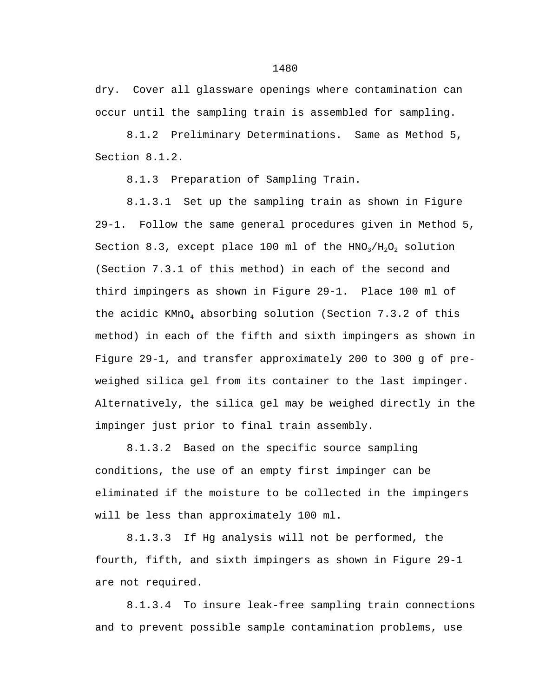dry. Cover all glassware openings where contamination can occur until the sampling train is assembled for sampling.

8.1.2 Preliminary Determinations. Same as Method 5, Section 8.1.2.

8.1.3 Preparation of Sampling Train.

8.1.3.1 Set up the sampling train as shown in Figure 29-1. Follow the same general procedures given in Method 5, Section 8.3, except place 100 ml of the  $HNO<sub>3</sub>/H<sub>2</sub>O<sub>2</sub>$  solution (Section 7.3.1 of this method) in each of the second and third impingers as shown in Figure 29-1. Place 100 ml of the acidic  $KMD<sub>4</sub>$  absorbing solution (Section 7.3.2 of this method) in each of the fifth and sixth impingers as shown in Figure 29-1, and transfer approximately 200 to 300 g of preweighed silica gel from its container to the last impinger. Alternatively, the silica gel may be weighed directly in the impinger just prior to final train assembly.

8.1.3.2 Based on the specific source sampling conditions, the use of an empty first impinger can be eliminated if the moisture to be collected in the impingers will be less than approximately 100 ml.

8.1.3.3 If Hg analysis will not be performed, the fourth, fifth, and sixth impingers as shown in Figure 29-1 are not required.

8.1.3.4 To insure leak-free sampling train connections and to prevent possible sample contamination problems, use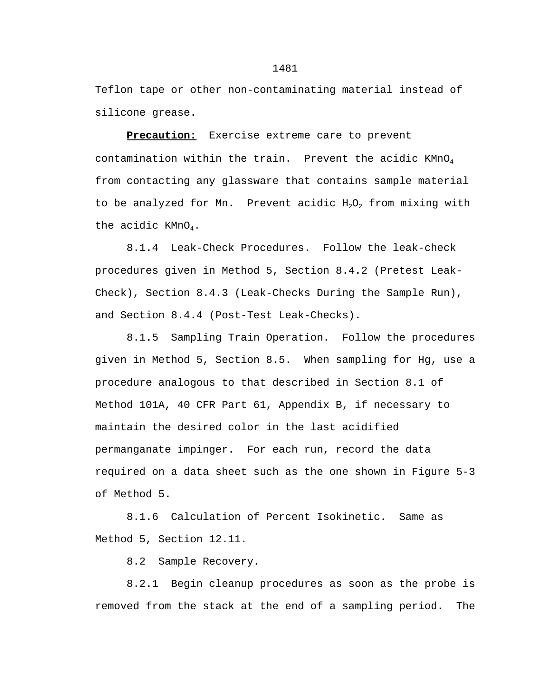Teflon tape or other non-contaminating material instead of silicone grease.

**Precaution:** Exercise extreme care to prevent contamination within the train. Prevent the acidic  $KMDQ_4$ from contacting any glassware that contains sample material to be analyzed for Mn. Prevent acidic  $H_2O_2$  from mixing with the acidic  $KMD<sub>4</sub>$ .

8.1.4 Leak-Check Procedures. Follow the leak-check procedures given in Method 5, Section 8.4.2 (Pretest Leak-Check), Section 8.4.3 (Leak-Checks During the Sample Run), and Section 8.4.4 (Post-Test Leak-Checks).

8.1.5 Sampling Train Operation. Follow the procedures given in Method 5, Section 8.5. When sampling for Hg, use a procedure analogous to that described in Section 8.1 of Method 101A, 40 CFR Part 61, Appendix B, if necessary to maintain the desired color in the last acidified permanganate impinger. For each run, record the data required on a data sheet such as the one shown in Figure 5-3 of Method 5.

8.1.6 Calculation of Percent Isokinetic. Same as Method 5, Section 12.11.

8.2 Sample Recovery.

8.2.1 Begin cleanup procedures as soon as the probe is removed from the stack at the end of a sampling period. The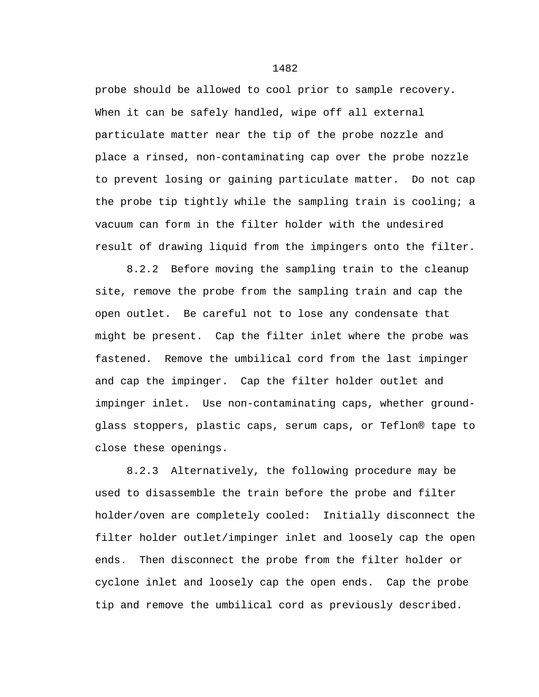probe should be allowed to cool prior to sample recovery. When it can be safely handled, wipe off all external particulate matter near the tip of the probe nozzle and place a rinsed, non-contaminating cap over the probe nozzle to prevent losing or gaining particulate matter. Do not cap the probe tip tightly while the sampling train is cooling; a vacuum can form in the filter holder with the undesired result of drawing liquid from the impingers onto the filter.

8.2.2 Before moving the sampling train to the cleanup site, remove the probe from the sampling train and cap the open outlet. Be careful not to lose any condensate that might be present. Cap the filter inlet where the probe was fastened. Remove the umbilical cord from the last impinger and cap the impinger. Cap the filter holder outlet and impinger inlet. Use non-contaminating caps, whether groundglass stoppers, plastic caps, serum caps, or Teflon® tape to close these openings.

8.2.3 Alternatively, the following procedure may be used to disassemble the train before the probe and filter holder/oven are completely cooled: Initially disconnect the filter holder outlet/impinger inlet and loosely cap the open ends. Then disconnect the probe from the filter holder or cyclone inlet and loosely cap the open ends. Cap the probe tip and remove the umbilical cord as previously described.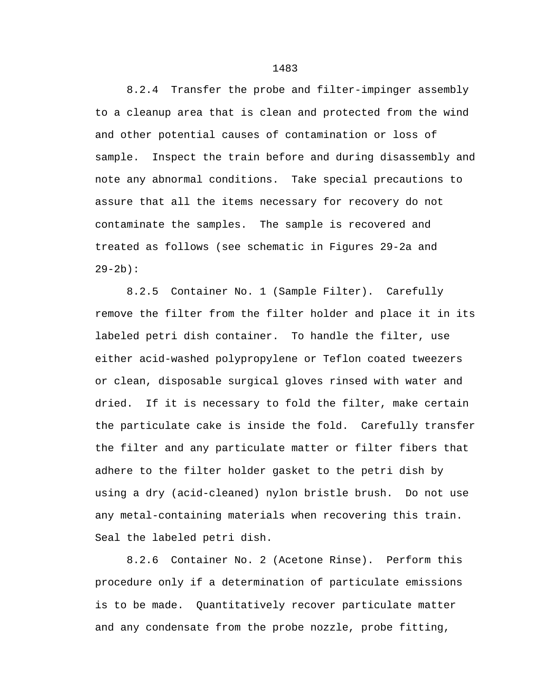8.2.4 Transfer the probe and filter-impinger assembly to a cleanup area that is clean and protected from the wind and other potential causes of contamination or loss of sample. Inspect the train before and during disassembly and note any abnormal conditions. Take special precautions to assure that all the items necessary for recovery do not contaminate the samples. The sample is recovered and treated as follows (see schematic in Figures 29-2a and  $29-2b$ ):

8.2.5 Container No. 1 (Sample Filter). Carefully remove the filter from the filter holder and place it in its labeled petri dish container. To handle the filter, use either acid-washed polypropylene or Teflon coated tweezers or clean, disposable surgical gloves rinsed with water and dried. If it is necessary to fold the filter, make certain the particulate cake is inside the fold. Carefully transfer the filter and any particulate matter or filter fibers that adhere to the filter holder gasket to the petri dish by using a dry (acid-cleaned) nylon bristle brush. Do not use any metal-containing materials when recovering this train. Seal the labeled petri dish.

8.2.6 Container No. 2 (Acetone Rinse). Perform this procedure only if a determination of particulate emissions is to be made. Quantitatively recover particulate matter and any condensate from the probe nozzle, probe fitting,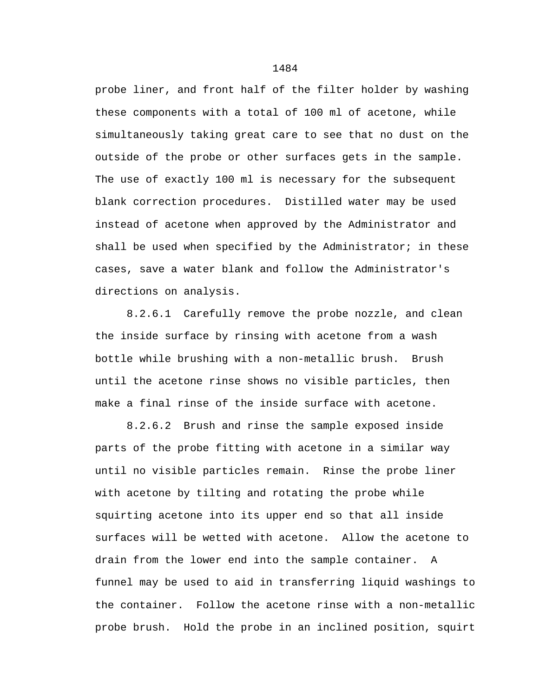probe liner, and front half of the filter holder by washing these components with a total of 100 ml of acetone, while simultaneously taking great care to see that no dust on the outside of the probe or other surfaces gets in the sample. The use of exactly 100 ml is necessary for the subsequent blank correction procedures. Distilled water may be used instead of acetone when approved by the Administrator and shall be used when specified by the Administrator; in these cases, save a water blank and follow the Administrator's directions on analysis.

8.2.6.1 Carefully remove the probe nozzle, and clean the inside surface by rinsing with acetone from a wash bottle while brushing with a non-metallic brush. Brush until the acetone rinse shows no visible particles, then make a final rinse of the inside surface with acetone.

8.2.6.2 Brush and rinse the sample exposed inside parts of the probe fitting with acetone in a similar way until no visible particles remain. Rinse the probe liner with acetone by tilting and rotating the probe while squirting acetone into its upper end so that all inside surfaces will be wetted with acetone. Allow the acetone to drain from the lower end into the sample container. A funnel may be used to aid in transferring liquid washings to the container. Follow the acetone rinse with a non-metallic probe brush. Hold the probe in an inclined position, squirt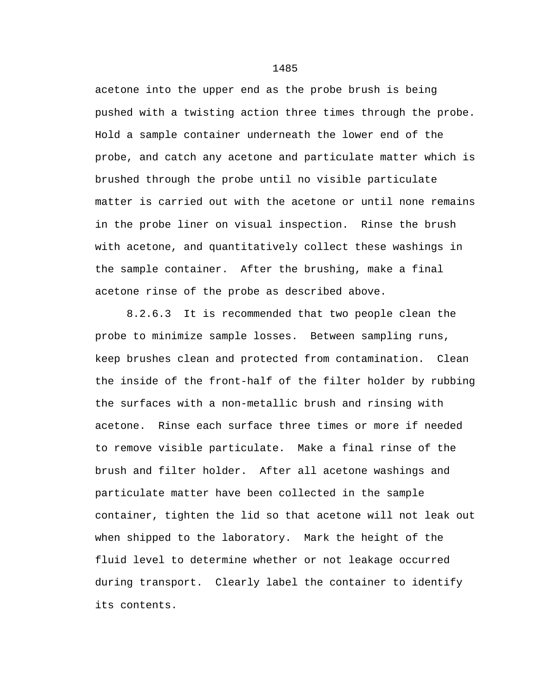acetone into the upper end as the probe brush is being pushed with a twisting action three times through the probe. Hold a sample container underneath the lower end of the probe, and catch any acetone and particulate matter which is brushed through the probe until no visible particulate matter is carried out with the acetone or until none remains in the probe liner on visual inspection. Rinse the brush with acetone, and quantitatively collect these washings in the sample container. After the brushing, make a final acetone rinse of the probe as described above.

8.2.6.3 It is recommended that two people clean the probe to minimize sample losses. Between sampling runs, keep brushes clean and protected from contamination. Clean the inside of the front-half of the filter holder by rubbing the surfaces with a non-metallic brush and rinsing with acetone. Rinse each surface three times or more if needed to remove visible particulate. Make a final rinse of the brush and filter holder. After all acetone washings and particulate matter have been collected in the sample container, tighten the lid so that acetone will not leak out when shipped to the laboratory. Mark the height of the fluid level to determine whether or not leakage occurred during transport. Clearly label the container to identify its contents.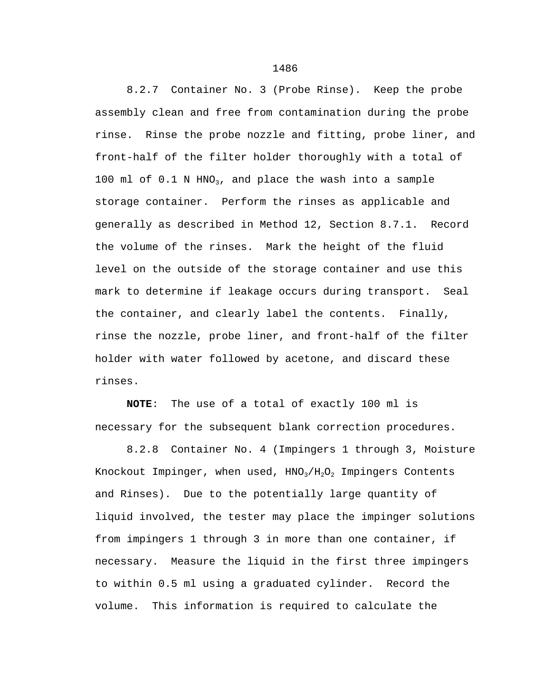8.2.7 Container No. 3 (Probe Rinse). Keep the probe assembly clean and free from contamination during the probe rinse. Rinse the probe nozzle and fitting, probe liner, and front-half of the filter holder thoroughly with a total of 100 ml of  $0.1$  N HNO<sub>3</sub>, and place the wash into a sample storage container. Perform the rinses as applicable and generally as described in Method 12, Section 8.7.1. Record the volume of the rinses. Mark the height of the fluid level on the outside of the storage container and use this mark to determine if leakage occurs during transport. Seal the container, and clearly label the contents. Finally, rinse the nozzle, probe liner, and front-half of the filter holder with water followed by acetone, and discard these rinses.

**NOTE**: The use of a total of exactly 100 ml is necessary for the subsequent blank correction procedures.

8.2.8 Container No. 4 (Impingers 1 through 3, Moisture Knockout Impinger, when used,  $HNO<sub>3</sub>/H<sub>2</sub>O<sub>2</sub>$  Impingers Contents and Rinses). Due to the potentially large quantity of liquid involved, the tester may place the impinger solutions from impingers 1 through 3 in more than one container, if necessary. Measure the liquid in the first three impingers to within 0.5 ml using a graduated cylinder. Record the volume. This information is required to calculate the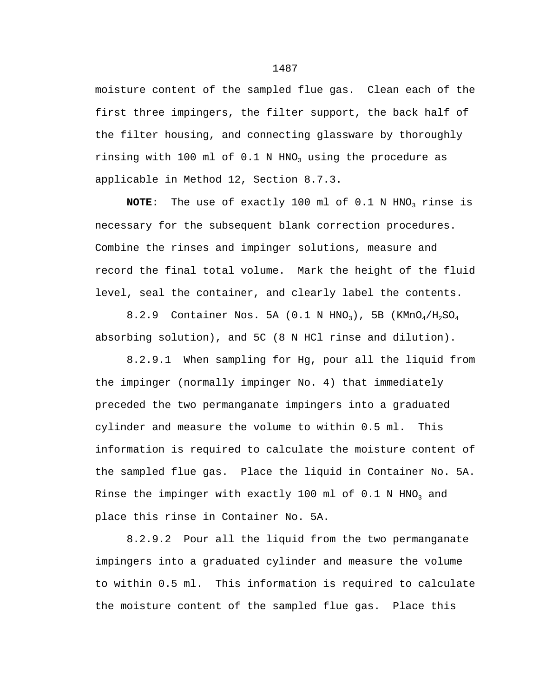moisture content of the sampled flue gas. Clean each of the first three impingers, the filter support, the back half of the filter housing, and connecting glassware by thoroughly rinsing with 100 ml of  $0.1$  N HNO<sub>3</sub> using the procedure as applicable in Method 12, Section 8.7.3.

**NOTE**: The use of exactly 100 ml of 0.1 N HNO<sub>3</sub> rinse is necessary for the subsequent blank correction procedures. Combine the rinses and impinger solutions, measure and record the final total volume. Mark the height of the fluid level, seal the container, and clearly label the contents.

8.2.9 Container Nos. 5A (0.1 N HNO<sub>3</sub>), 5B (KMnO<sub>4</sub>/H<sub>2</sub>SO<sub>4</sub> absorbing solution), and 5C (8 N HCl rinse and dilution).

8.2.9.1 When sampling for Hg, pour all the liquid from the impinger (normally impinger No. 4) that immediately preceded the two permanganate impingers into a graduated cylinder and measure the volume to within 0.5 ml. This information is required to calculate the moisture content of the sampled flue gas. Place the liquid in Container No. 5A. Rinse the impinger with exactly 100 ml of  $0.1$  N HNO<sub>3</sub> and place this rinse in Container No. 5A.

8.2.9.2 Pour all the liquid from the two permanganate impingers into a graduated cylinder and measure the volume to within 0.5 ml. This information is required to calculate the moisture content of the sampled flue gas. Place this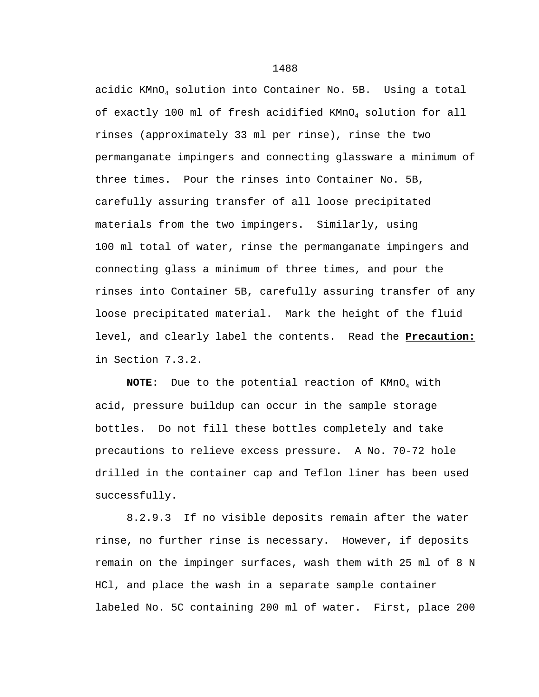acidic KMnO4 solution into Container No. 5B. Using a total of exactly 100 ml of fresh acidified KMnO4 solution for all rinses (approximately 33 ml per rinse), rinse the two permanganate impingers and connecting glassware a minimum of three times. Pour the rinses into Container No. 5B, carefully assuring transfer of all loose precipitated materials from the two impingers. Similarly, using 100 ml total of water, rinse the permanganate impingers and connecting glass a minimum of three times, and pour the rinses into Container 5B, carefully assuring transfer of any loose precipitated material. Mark the height of the fluid level, and clearly label the contents. Read the **Precaution:** in Section 7.3.2.

**NOTE:** Due to the potential reaction of KMnO<sub>4</sub> with acid, pressure buildup can occur in the sample storage bottles. Do not fill these bottles completely and take precautions to relieve excess pressure. A No. 70-72 hole drilled in the container cap and Teflon liner has been used successfully.

8.2.9.3 If no visible deposits remain after the water rinse, no further rinse is necessary. However, if deposits remain on the impinger surfaces, wash them with 25 ml of 8 N HCl, and place the wash in a separate sample container labeled No. 5C containing 200 ml of water. First, place 200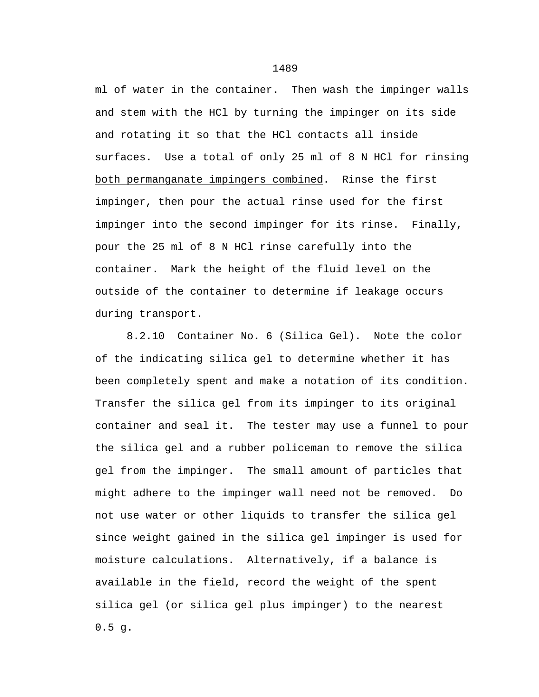ml of water in the container. Then wash the impinger walls and stem with the HCl by turning the impinger on its side and rotating it so that the HCl contacts all inside surfaces. Use a total of only 25 ml of 8 N HCl for rinsing both permanganate impingers combined. Rinse the first impinger, then pour the actual rinse used for the first impinger into the second impinger for its rinse. Finally, pour the 25 ml of 8 N HCl rinse carefully into the container. Mark the height of the fluid level on the outside of the container to determine if leakage occurs during transport.

8.2.10 Container No. 6 (Silica Gel). Note the color of the indicating silica gel to determine whether it has been completely spent and make a notation of its condition. Transfer the silica gel from its impinger to its original container and seal it. The tester may use a funnel to pour the silica gel and a rubber policeman to remove the silica gel from the impinger. The small amount of particles that might adhere to the impinger wall need not be removed. Do not use water or other liquids to transfer the silica gel since weight gained in the silica gel impinger is used for moisture calculations. Alternatively, if a balance is available in the field, record the weight of the spent silica gel (or silica gel plus impinger) to the nearest  $0.5$  g.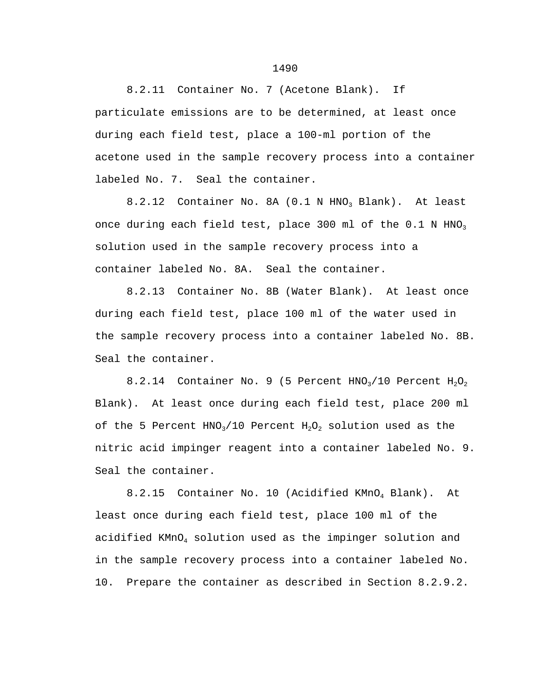8.2.11 Container No. 7 (Acetone Blank). If particulate emissions are to be determined, at least once during each field test, place a 100-ml portion of the acetone used in the sample recovery process into a container labeled No. 7. Seal the container.

8.2.12 Container No. 8A  $(0.1 \text{ N HNO}_3 \text{ Blank})$ . At least once during each field test, place 300 ml of the 0.1 N HNO<sub>3</sub> solution used in the sample recovery process into a container labeled No. 8A. Seal the container.

8.2.13 Container No. 8B (Water Blank). At least once during each field test, place 100 ml of the water used in the sample recovery process into a container labeled No. 8B. Seal the container.

8.2.14 Container No. 9 (5 Percent  $HNO<sub>3</sub>/10$  Percent  $H<sub>2</sub>O<sub>2</sub>$ Blank). At least once during each field test, place 200 ml of the 5 Percent  $HNO<sub>3</sub>/10$  Percent  $H<sub>2</sub>O<sub>2</sub>$  solution used as the nitric acid impinger reagent into a container labeled No. 9. Seal the container.

8.2.15 Container No. 10 (Acidified KMnO<sub>4</sub> Blank). At least once during each field test, place 100 ml of the acidified KMnO4 solution used as the impinger solution and in the sample recovery process into a container labeled No. 10. Prepare the container as described in Section 8.2.9.2.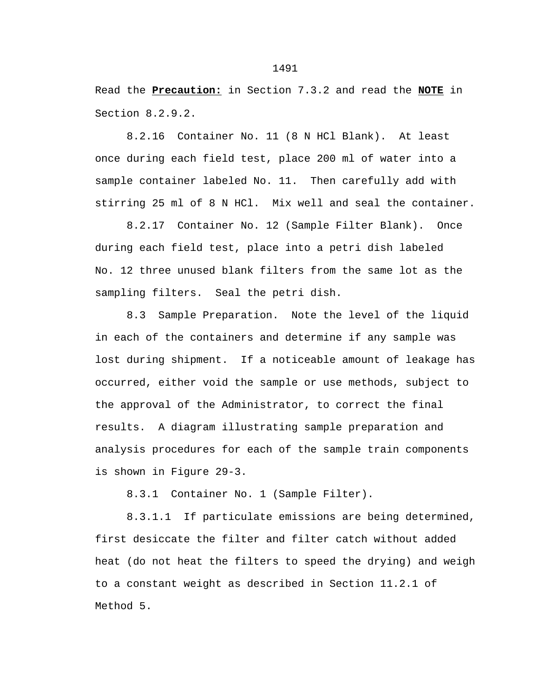Read the **Precaution:** in Section 7.3.2 and read the **NOTE** in Section 8.2.9.2.

8.2.16 Container No. 11 (8 N HCl Blank). At least once during each field test, place 200 ml of water into a sample container labeled No. 11. Then carefully add with stirring 25 ml of 8 N HCl. Mix well and seal the container.

8.2.17 Container No. 12 (Sample Filter Blank). Once during each field test, place into a petri dish labeled No. 12 three unused blank filters from the same lot as the sampling filters. Seal the petri dish.

8.3 Sample Preparation. Note the level of the liquid in each of the containers and determine if any sample was lost during shipment. If a noticeable amount of leakage has occurred, either void the sample or use methods, subject to the approval of the Administrator, to correct the final results. A diagram illustrating sample preparation and analysis procedures for each of the sample train components is shown in Figure 29-3.

8.3.1 Container No. 1 (Sample Filter).

8.3.1.1 If particulate emissions are being determined, first desiccate the filter and filter catch without added heat (do not heat the filters to speed the drying) and weigh to a constant weight as described in Section 11.2.1 of Method 5.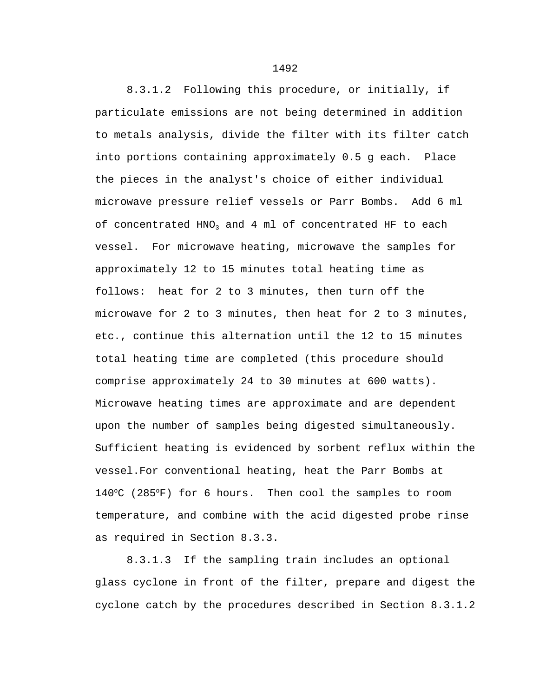8.3.1.2 Following this procedure, or initially, if particulate emissions are not being determined in addition to metals analysis, divide the filter with its filter catch into portions containing approximately 0.5 g each. Place the pieces in the analyst's choice of either individual microwave pressure relief vessels or Parr Bombs. Add 6 ml of concentrated HNO<sub>3</sub> and 4 ml of concentrated HF to each vessel. For microwave heating, microwave the samples for approximately 12 to 15 minutes total heating time as follows: heat for 2 to 3 minutes, then turn off the microwave for 2 to 3 minutes, then heat for 2 to 3 minutes, etc., continue this alternation until the 12 to 15 minutes total heating time are completed (this procedure should comprise approximately 24 to 30 minutes at 600 watts). Microwave heating times are approximate and are dependent upon the number of samples being digested simultaneously. Sufficient heating is evidenced by sorbent reflux within the vessel.For conventional heating, heat the Parr Bombs at 140°C (285°F) for 6 hours. Then cool the samples to room temperature, and combine with the acid digested probe rinse as required in Section 8.3.3.

8.3.1.3 If the sampling train includes an optional glass cyclone in front of the filter, prepare and digest the cyclone catch by the procedures described in Section 8.3.1.2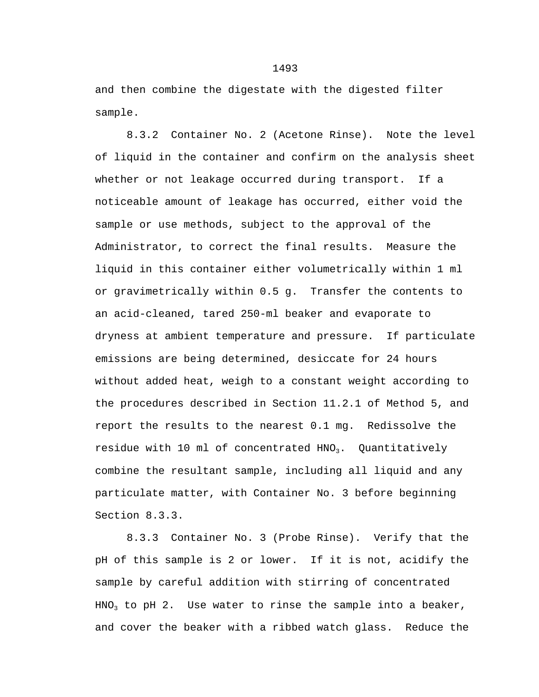and then combine the digestate with the digested filter sample.

8.3.2 Container No. 2 (Acetone Rinse). Note the level of liquid in the container and confirm on the analysis sheet whether or not leakage occurred during transport. If a noticeable amount of leakage has occurred, either void the sample or use methods, subject to the approval of the Administrator, to correct the final results. Measure the liquid in this container either volumetrically within 1 ml or gravimetrically within 0.5 g. Transfer the contents to an acid-cleaned, tared 250-ml beaker and evaporate to dryness at ambient temperature and pressure. If particulate emissions are being determined, desiccate for 24 hours without added heat, weigh to a constant weight according to the procedures described in Section 11.2.1 of Method 5, and report the results to the nearest 0.1 mg. Redissolve the residue with 10 ml of concentrated  $HNO<sub>3</sub>$ . Quantitatively combine the resultant sample, including all liquid and any particulate matter, with Container No. 3 before beginning Section 8.3.3.

8.3.3 Container No. 3 (Probe Rinse). Verify that the pH of this sample is 2 or lower. If it is not, acidify the sample by careful addition with stirring of concentrated  $HNO<sub>3</sub>$  to pH 2. Use water to rinse the sample into a beaker, and cover the beaker with a ribbed watch glass. Reduce the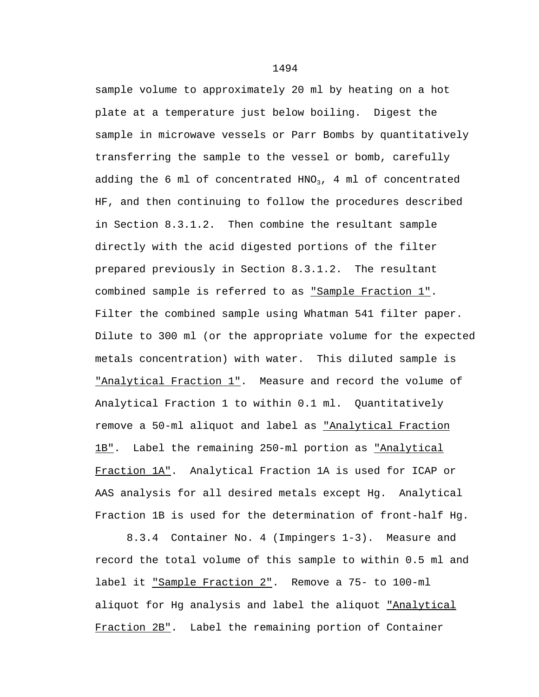sample volume to approximately 20 ml by heating on a hot plate at a temperature just below boiling. Digest the sample in microwave vessels or Parr Bombs by quantitatively transferring the sample to the vessel or bomb, carefully adding the 6 ml of concentrated HNO<sub>3</sub>, 4 ml of concentrated HF, and then continuing to follow the procedures described in Section 8.3.1.2. Then combine the resultant sample directly with the acid digested portions of the filter prepared previously in Section 8.3.1.2. The resultant combined sample is referred to as "Sample Fraction 1". Filter the combined sample using Whatman 541 filter paper. Dilute to 300 ml (or the appropriate volume for the expected metals concentration) with water. This diluted sample is "Analytical Fraction 1". Measure and record the volume of Analytical Fraction 1 to within 0.1 ml. Quantitatively remove a 50-ml aliquot and label as "Analytical Fraction 1B". Label the remaining 250-ml portion as "Analytical Fraction 1A". Analytical Fraction 1A is used for ICAP or AAS analysis for all desired metals except Hg. Analytical Fraction 1B is used for the determination of front-half Hg.

8.3.4 Container No. 4 (Impingers 1-3). Measure and record the total volume of this sample to within 0.5 ml and label it "Sample Fraction 2". Remove a 75- to 100-ml aliquot for Hg analysis and label the aliquot *"Analytical* Fraction 2B". Label the remaining portion of Container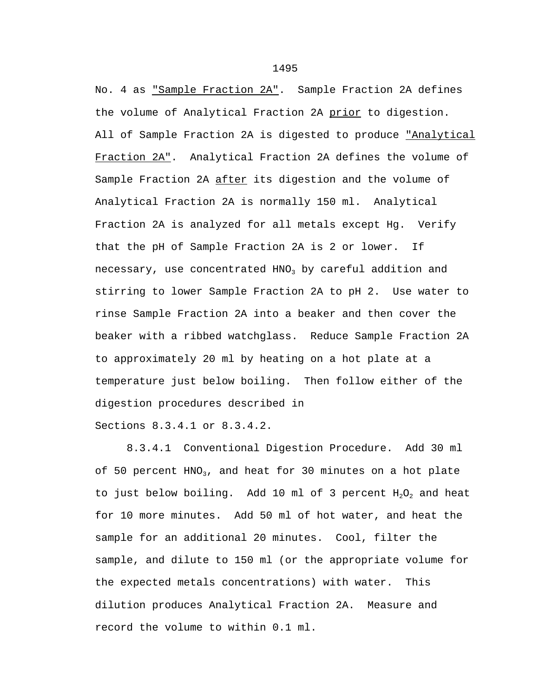No. 4 as "Sample Fraction 2A". Sample Fraction 2A defines the volume of Analytical Fraction 2A prior to digestion. All of Sample Fraction 2A is digested to produce "Analytical Fraction 2A". Analytical Fraction 2A defines the volume of Sample Fraction 2A after its digestion and the volume of Analytical Fraction 2A is normally 150 ml. Analytical Fraction 2A is analyzed for all metals except Hg. Verify that the pH of Sample Fraction 2A is 2 or lower. If necessary, use concentrated  $HNO<sub>3</sub>$  by careful addition and stirring to lower Sample Fraction 2A to pH 2. Use water to rinse Sample Fraction 2A into a beaker and then cover the beaker with a ribbed watchglass. Reduce Sample Fraction 2A to approximately 20 ml by heating on a hot plate at a temperature just below boiling. Then follow either of the digestion procedures described in

Sections 8.3.4.1 or 8.3.4.2.

8.3.4.1 Conventional Digestion Procedure. Add 30 ml of 50 percent  $HNO<sub>3</sub>$ , and heat for 30 minutes on a hot plate to just below boiling. Add 10 ml of 3 percent  $H_2O_2$  and heat for 10 more minutes. Add 50 ml of hot water, and heat the sample for an additional 20 minutes. Cool, filter the sample, and dilute to 150 ml (or the appropriate volume for the expected metals concentrations) with water. This dilution produces Analytical Fraction 2A. Measure and record the volume to within 0.1 ml.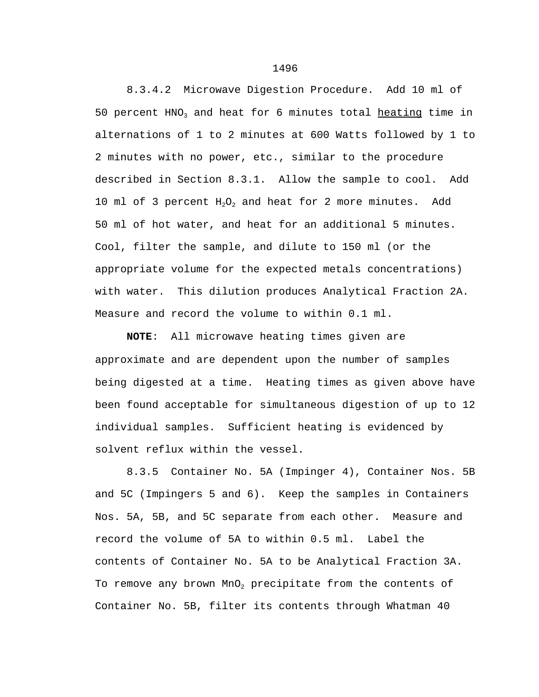8.3.4.2 Microwave Digestion Procedure. Add 10 ml of 50 percent HNO<sub>3</sub> and heat for 6 minutes total heating time in alternations of 1 to 2 minutes at 600 Watts followed by 1 to 2 minutes with no power, etc., similar to the procedure described in Section 8.3.1. Allow the sample to cool. Add 10 ml of 3 percent  $H_2O_2$  and heat for 2 more minutes. Add 50 ml of hot water, and heat for an additional 5 minutes. Cool, filter the sample, and dilute to 150 ml (or the appropriate volume for the expected metals concentrations) with water. This dilution produces Analytical Fraction 2A. Measure and record the volume to within 0.1 ml.

**NOTE**: All microwave heating times given are approximate and are dependent upon the number of samples being digested at a time. Heating times as given above have been found acceptable for simultaneous digestion of up to 12 individual samples. Sufficient heating is evidenced by solvent reflux within the vessel.

8.3.5 Container No. 5A (Impinger 4), Container Nos. 5B and 5C (Impingers 5 and 6). Keep the samples in Containers Nos. 5A, 5B, and 5C separate from each other. Measure and record the volume of 5A to within 0.5 ml. Label the contents of Container No. 5A to be Analytical Fraction 3A. To remove any brown MnO<sub>2</sub> precipitate from the contents of Container No. 5B, filter its contents through Whatman 40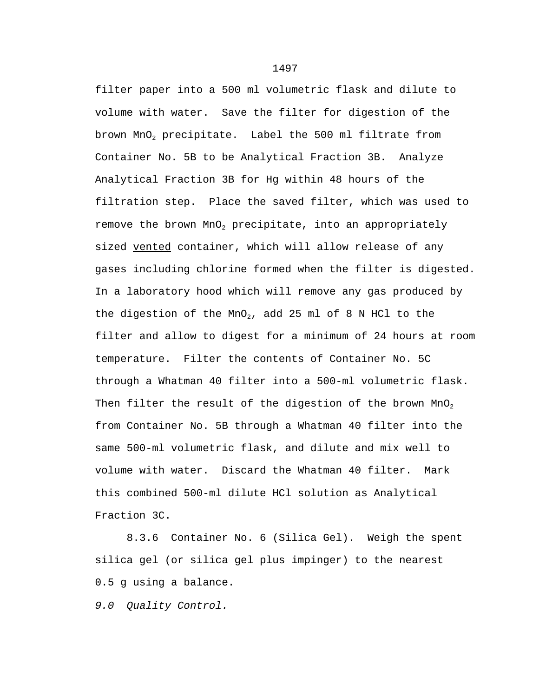filter paper into a 500 ml volumetric flask and dilute to volume with water. Save the filter for digestion of the brown MnO2 precipitate. Label the 500 ml filtrate from Container No. 5B to be Analytical Fraction 3B. Analyze Analytical Fraction 3B for Hg within 48 hours of the filtration step. Place the saved filter, which was used to remove the brown  $MnO<sub>2</sub>$  precipitate, into an appropriately sized vented container, which will allow release of any gases including chlorine formed when the filter is digested. In a laboratory hood which will remove any gas produced by the digestion of the MnO<sub>2</sub>, add 25 ml of 8 N HCl to the filter and allow to digest for a minimum of 24 hours at room temperature. Filter the contents of Container No. 5C through a Whatman 40 filter into a 500-ml volumetric flask. Then filter the result of the digestion of the brown  $MnO<sub>2</sub>$ from Container No. 5B through a Whatman 40 filter into the same 500-ml volumetric flask, and dilute and mix well to volume with water. Discard the Whatman 40 filter. Mark this combined 500-ml dilute HCl solution as Analytical Fraction 3C.

8.3.6 Container No. 6 (Silica Gel). Weigh the spent silica gel (or silica gel plus impinger) to the nearest 0.5 g using a balance.

*9.0 Quality Control.*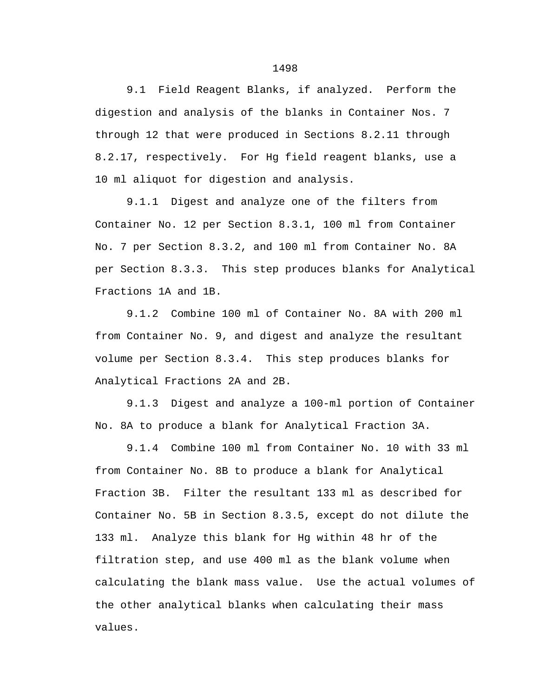9.1 Field Reagent Blanks, if analyzed. Perform the digestion and analysis of the blanks in Container Nos. 7 through 12 that were produced in Sections 8.2.11 through 8.2.17, respectively. For Hg field reagent blanks, use a 10 ml aliquot for digestion and analysis.

9.1.1 Digest and analyze one of the filters from Container No. 12 per Section 8.3.1, 100 ml from Container No. 7 per Section 8.3.2, and 100 ml from Container No. 8A per Section 8.3.3. This step produces blanks for Analytical Fractions 1A and 1B.

9.1.2 Combine 100 ml of Container No. 8A with 200 ml from Container No. 9, and digest and analyze the resultant volume per Section 8.3.4. This step produces blanks for Analytical Fractions 2A and 2B.

9.1.3 Digest and analyze a 100-ml portion of Container No. 8A to produce a blank for Analytical Fraction 3A.

9.1.4 Combine 100 ml from Container No. 10 with 33 ml from Container No. 8B to produce a blank for Analytical Fraction 3B. Filter the resultant 133 ml as described for Container No. 5B in Section 8.3.5, except do not dilute the 133 ml. Analyze this blank for Hg within 48 hr of the filtration step, and use 400 ml as the blank volume when calculating the blank mass value. Use the actual volumes of the other analytical blanks when calculating their mass values.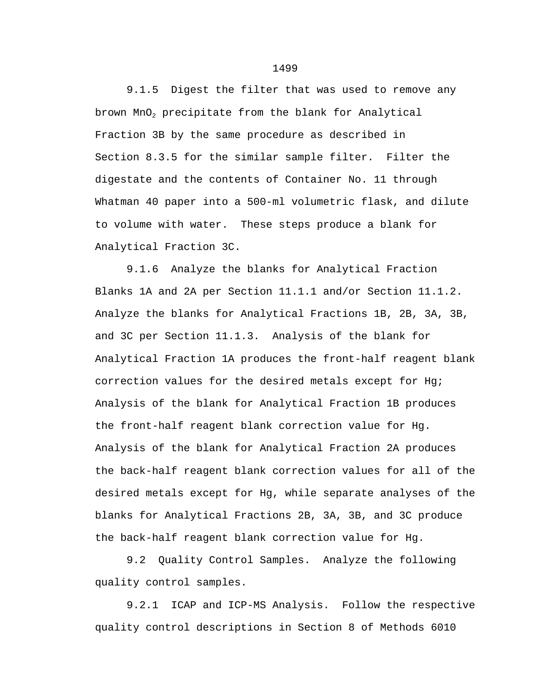9.1.5 Digest the filter that was used to remove any brown  $MnO<sub>2</sub>$  precipitate from the blank for Analytical Fraction 3B by the same procedure as described in Section 8.3.5 for the similar sample filter. Filter the digestate and the contents of Container No. 11 through Whatman 40 paper into a 500-ml volumetric flask, and dilute to volume with water. These steps produce a blank for Analytical Fraction 3C.

9.1.6 Analyze the blanks for Analytical Fraction Blanks 1A and 2A per Section 11.1.1 and/or Section 11.1.2. Analyze the blanks for Analytical Fractions 1B, 2B, 3A, 3B, and 3C per Section 11.1.3. Analysis of the blank for Analytical Fraction 1A produces the front-half reagent blank correction values for the desired metals except for Hg; Analysis of the blank for Analytical Fraction 1B produces the front-half reagent blank correction value for Hg. Analysis of the blank for Analytical Fraction 2A produces the back-half reagent blank correction values for all of the desired metals except for Hg, while separate analyses of the blanks for Analytical Fractions 2B, 3A, 3B, and 3C produce the back-half reagent blank correction value for Hg.

9.2 Quality Control Samples. Analyze the following quality control samples.

9.2.1 ICAP and ICP-MS Analysis. Follow the respective quality control descriptions in Section 8 of Methods 6010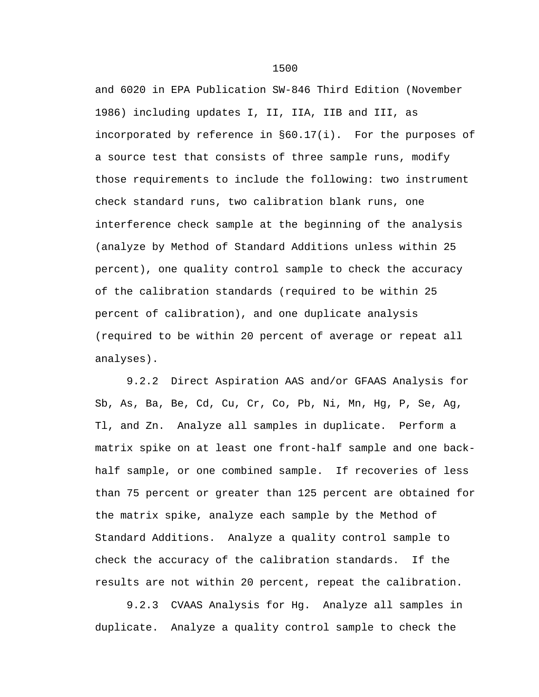and 6020 in EPA Publication SW-846 Third Edition (November 1986) including updates I, II, IIA, IIB and III, as incorporated by reference in §60.17(i). For the purposes of a source test that consists of three sample runs, modify those requirements to include the following: two instrument check standard runs, two calibration blank runs, one interference check sample at the beginning of the analysis (analyze by Method of Standard Additions unless within 25 percent), one quality control sample to check the accuracy of the calibration standards (required to be within 25 percent of calibration), and one duplicate analysis (required to be within 20 percent of average or repeat all analyses).

9.2.2 Direct Aspiration AAS and/or GFAAS Analysis for Sb, As, Ba, Be, Cd, Cu, Cr, Co, Pb, Ni, Mn, Hg, P, Se, Ag, Tl, and Zn. Analyze all samples in duplicate. Perform a matrix spike on at least one front-half sample and one backhalf sample, or one combined sample. If recoveries of less than 75 percent or greater than 125 percent are obtained for the matrix spike, analyze each sample by the Method of Standard Additions. Analyze a quality control sample to check the accuracy of the calibration standards. If the results are not within 20 percent, repeat the calibration.

9.2.3 CVAAS Analysis for Hg. Analyze all samples in duplicate. Analyze a quality control sample to check the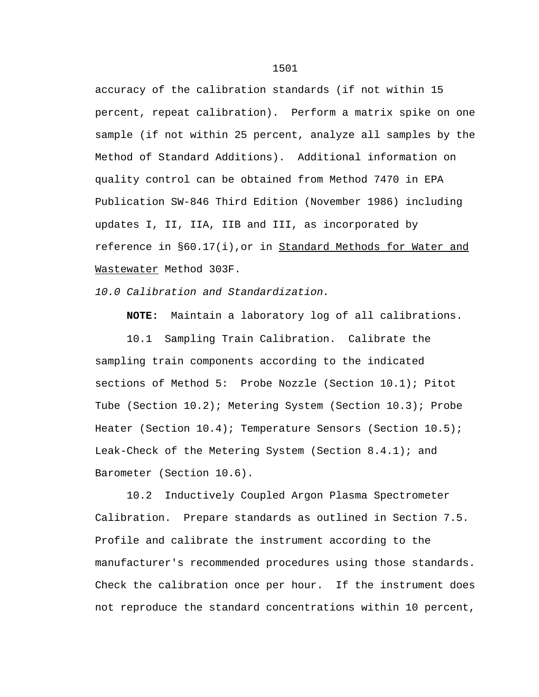accuracy of the calibration standards (if not within 15 percent, repeat calibration). Perform a matrix spike on one sample (if not within 25 percent, analyze all samples by the Method of Standard Additions). Additional information on quality control can be obtained from Method 7470 in EPA Publication SW-846 Third Edition (November 1986) including updates I, II, IIA, IIB and III, as incorporated by reference in §60.17(i), or in Standard Methods for Water and Wastewater Method 303F.

*10.0 Calibration and Standardization.*

**NOTE:** Maintain a laboratory log of all calibrations.

10.1 Sampling Train Calibration. Calibrate the sampling train components according to the indicated sections of Method 5: Probe Nozzle (Section 10.1); Pitot Tube (Section 10.2); Metering System (Section 10.3); Probe Heater (Section 10.4); Temperature Sensors (Section 10.5); Leak-Check of the Metering System (Section 8.4.1); and Barometer (Section 10.6).

10.2 Inductively Coupled Argon Plasma Spectrometer Calibration. Prepare standards as outlined in Section 7.5. Profile and calibrate the instrument according to the manufacturer's recommended procedures using those standards. Check the calibration once per hour. If the instrument does not reproduce the standard concentrations within 10 percent,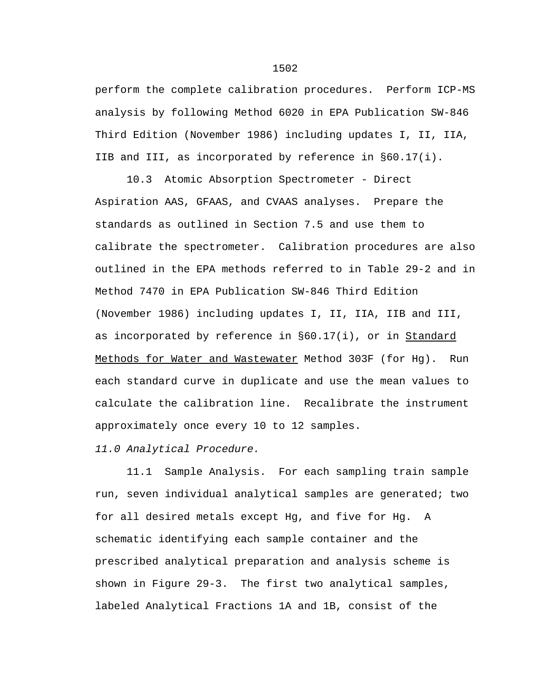perform the complete calibration procedures. Perform ICP-MS analysis by following Method 6020 in EPA Publication SW-846 Third Edition (November 1986) including updates I, II, IIA, IIB and III, as incorporated by reference in §60.17(i).

10.3 Atomic Absorption Spectrometer - Direct Aspiration AAS, GFAAS, and CVAAS analyses. Prepare the standards as outlined in Section 7.5 and use them to calibrate the spectrometer. Calibration procedures are also outlined in the EPA methods referred to in Table 29-2 and in Method 7470 in EPA Publication SW-846 Third Edition (November 1986) including updates I, II, IIA, IIB and III, as incorporated by reference in §60.17(i), or in Standard Methods for Water and Wastewater Method 303F (for Hg). Run each standard curve in duplicate and use the mean values to calculate the calibration line. Recalibrate the instrument approximately once every 10 to 12 samples.

*11.0 Analytical Procedure.*

11.1 Sample Analysis. For each sampling train sample run, seven individual analytical samples are generated; two for all desired metals except Hg, and five for Hg. A schematic identifying each sample container and the prescribed analytical preparation and analysis scheme is shown in Figure 29-3. The first two analytical samples, labeled Analytical Fractions 1A and 1B, consist of the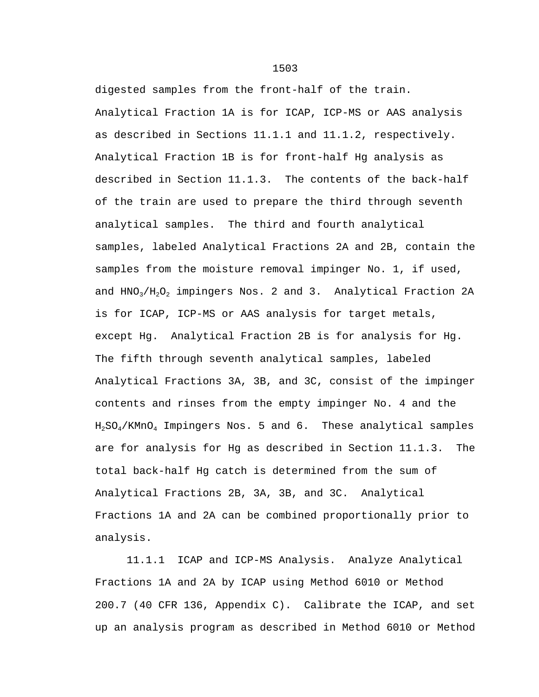digested samples from the front-half of the train. Analytical Fraction 1A is for ICAP, ICP-MS or AAS analysis as described in Sections 11.1.1 and 11.1.2, respectively. Analytical Fraction 1B is for front-half Hg analysis as described in Section 11.1.3. The contents of the back-half of the train are used to prepare the third through seventh analytical samples. The third and fourth analytical samples, labeled Analytical Fractions 2A and 2B, contain the samples from the moisture removal impinger No. 1, if used, and  $HNO<sub>3</sub>/H<sub>2</sub>O<sub>2</sub>$  impingers Nos. 2 and 3. Analytical Fraction 2A is for ICAP, ICP-MS or AAS analysis for target metals, except Hg. Analytical Fraction 2B is for analysis for Hg. The fifth through seventh analytical samples, labeled Analytical Fractions 3A, 3B, and 3C, consist of the impinger contents and rinses from the empty impinger No. 4 and the H2SO4/KMnO4 Impingers Nos. 5 and 6. These analytical samples are for analysis for Hg as described in Section 11.1.3. The total back-half Hg catch is determined from the sum of Analytical Fractions 2B, 3A, 3B, and 3C. Analytical Fractions 1A and 2A can be combined proportionally prior to analysis.

11.1.1 ICAP and ICP-MS Analysis. Analyze Analytical Fractions 1A and 2A by ICAP using Method 6010 or Method 200.7 (40 CFR 136, Appendix C). Calibrate the ICAP, and set up an analysis program as described in Method 6010 or Method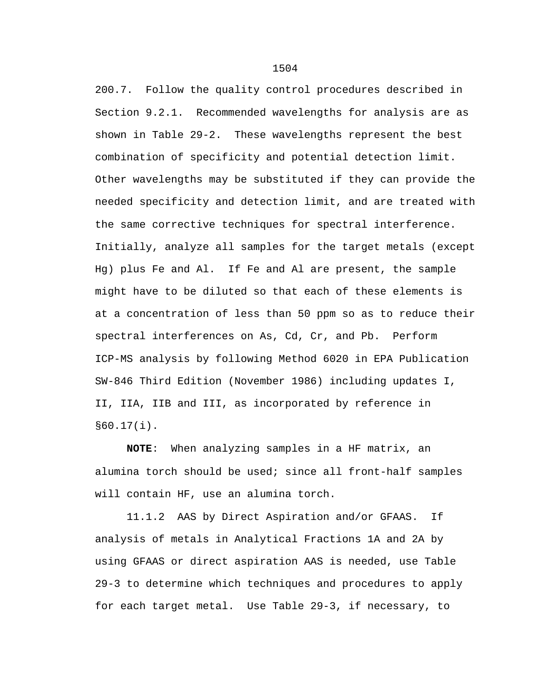200.7. Follow the quality control procedures described in Section 9.2.1. Recommended wavelengths for analysis are as shown in Table 29-2. These wavelengths represent the best combination of specificity and potential detection limit. Other wavelengths may be substituted if they can provide the needed specificity and detection limit, and are treated with the same corrective techniques for spectral interference. Initially, analyze all samples for the target metals (except Hg) plus Fe and Al. If Fe and Al are present, the sample might have to be diluted so that each of these elements is at a concentration of less than 50 ppm so as to reduce their spectral interferences on As, Cd, Cr, and Pb. Perform ICP-MS analysis by following Method 6020 in EPA Publication SW-846 Third Edition (November 1986) including updates I, II, IIA, IIB and III, as incorporated by reference in §60.17(i).

**NOTE**: When analyzing samples in a HF matrix, an alumina torch should be used; since all front-half samples will contain HF, use an alumina torch.

11.1.2 AAS by Direct Aspiration and/or GFAAS. If analysis of metals in Analytical Fractions 1A and 2A by using GFAAS or direct aspiration AAS is needed, use Table 29-3 to determine which techniques and procedures to apply for each target metal. Use Table 29-3, if necessary, to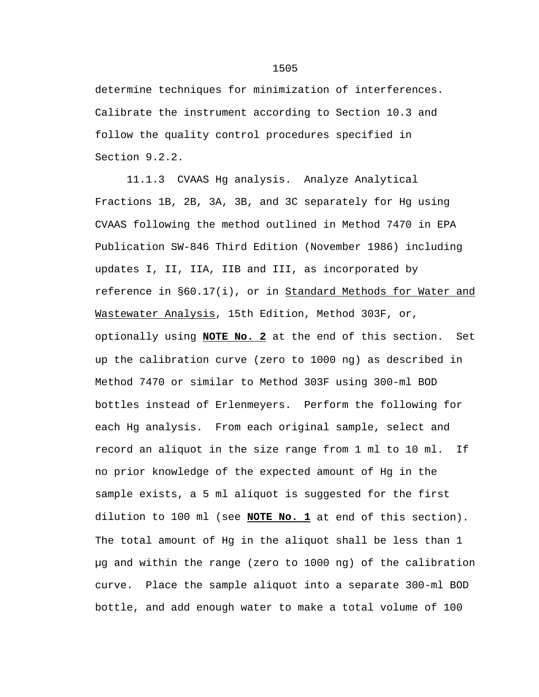determine techniques for minimization of interferences. Calibrate the instrument according to Section 10.3 and follow the quality control procedures specified in Section 9.2.2.

11.1.3 CVAAS Hg analysis. Analyze Analytical Fractions 1B, 2B, 3A, 3B, and 3C separately for Hg using CVAAS following the method outlined in Method 7470 in EPA Publication SW-846 Third Edition (November 1986) including updates I, II, IIA, IIB and III, as incorporated by reference in §60.17(i), or in Standard Methods for Water and Wastewater Analysis, 15th Edition, Method 303F, or, optionally using **NOTE No. 2** at the end of this section. Set up the calibration curve (zero to 1000 ng) as described in Method 7470 or similar to Method 303F using 300-ml BOD bottles instead of Erlenmeyers. Perform the following for each Hg analysis. From each original sample, select and record an aliquot in the size range from 1 ml to 10 ml. If no prior knowledge of the expected amount of Hg in the sample exists, a 5 ml aliquot is suggested for the first dilution to 100 ml (see **NOTE No. 1** at end of this section). The total amount of Hg in the aliquot shall be less than 1 µg and within the range (zero to 1000 ng) of the calibration curve. Place the sample aliquot into a separate 300-ml BOD bottle, and add enough water to make a total volume of 100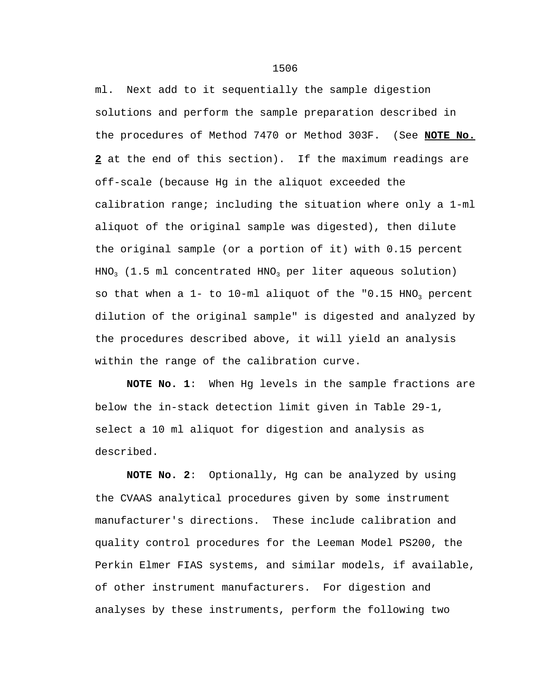ml. Next add to it sequentially the sample digestion solutions and perform the sample preparation described in the procedures of Method 7470 or Method 303F. (See **NOTE No. 2** at the end of this section). If the maximum readings are off-scale (because Hg in the aliquot exceeded the calibration range; including the situation where only a 1-ml aliquot of the original sample was digested), then dilute the original sample (or a portion of it) with 0.15 percent  $HNO<sub>3</sub>$  (1.5 ml concentrated HNO<sub>3</sub> per liter aqueous solution) so that when a  $1-$  to  $10$ -ml aliquot of the "0.15 HNO<sub>3</sub> percent dilution of the original sample" is digested and analyzed by the procedures described above, it will yield an analysis within the range of the calibration curve.

**NOTE No. 1**: When Hg levels in the sample fractions are below the in-stack detection limit given in Table 29-1, select a 10 ml aliquot for digestion and analysis as described.

**NOTE No. 2**: Optionally, Hg can be analyzed by using the CVAAS analytical procedures given by some instrument manufacturer's directions. These include calibration and quality control procedures for the Leeman Model PS200, the Perkin Elmer FIAS systems, and similar models, if available, of other instrument manufacturers. For digestion and analyses by these instruments, perform the following two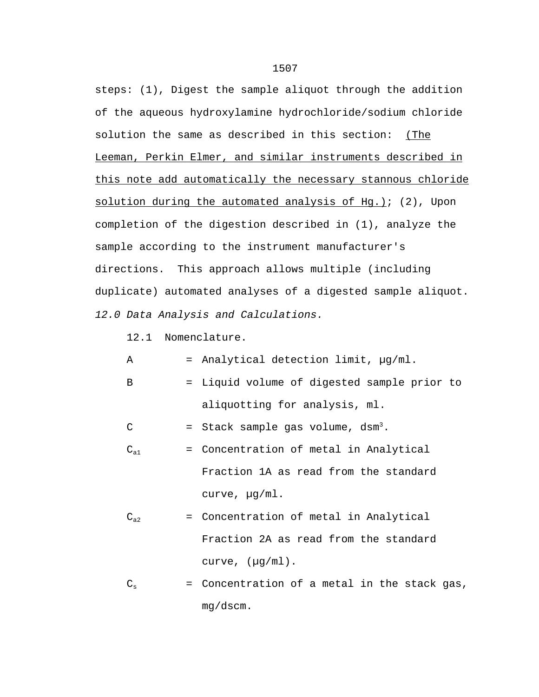steps: (1), Digest the sample aliquot through the addition of the aqueous hydroxylamine hydrochloride/sodium chloride solution the same as described in this section: (The Leeman, Perkin Elmer, and similar instruments described in this note add automatically the necessary stannous chloride solution during the automated analysis of Hg.); (2), Upon completion of the digestion described in (1), analyze the sample according to the instrument manufacturer's directions. This approach allows multiple (including duplicate) automated analyses of a digested sample aliquot. *12.0 Data Analysis and Calculations.*

12.1 Nomenclature.

 $A =$  Analytical detection limit,  $\mu$ g/ml.

B = Liquid volume of digested sample prior to aliquotting for analysis, ml.

 $C =$  Stack sample gas volume,  $dsm<sup>3</sup>$ .

- $C_{a1}$  = Concentration of metal in Analytical Fraction 1A as read from the standard curve, µg/ml.
- $C_{a2}$  = Concentration of metal in Analytical Fraction 2A as read from the standard curve,  $(\mu g/ml)$ .
- $C_s$  = Concentration of a metal in the stack gas, mg/dscm.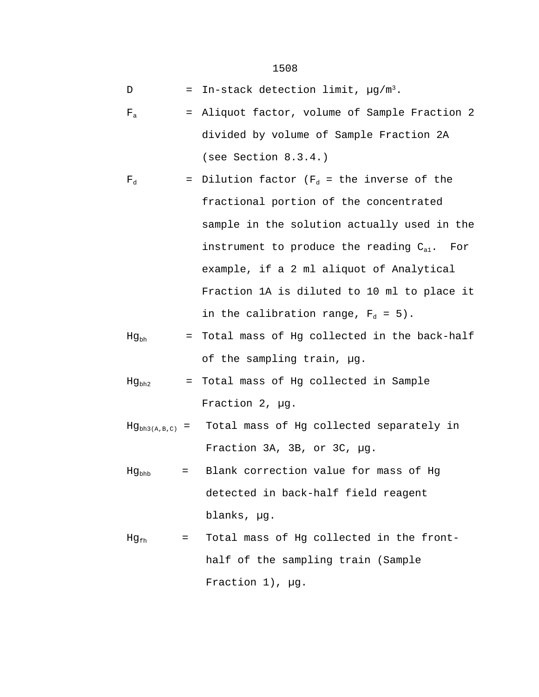- D = In-stack detection limit,  $\mu$ g/m<sup>3</sup>.
- $F_a$  = Aliquot factor, volume of Sample Fraction 2 divided by volume of Sample Fraction 2A (see Section 8.3.4.)

$$
F_d
$$
 = Dilution factor ( $F_d$  = the inverse of the fractional portion of the concentrated sample in the solution actually used in the instrument to produce the reading  $C_{a1}$ . For example, if a 2 ml aliquot of Analytical Fraction 1A is diluted to 10 ml to place it in the calibration range,  $F_d$  = 5).

- $Hg_{bh}$  = Total mass of Hg collected in the back-half of the sampling train, µg.
- $Hg_{bh2}$  = Total mass of Hg collected in Sample Fraction 2, µg.
- $Hg_{bh3(A,B,C)}$  = Total mass of Hg collected separately in Fraction 3A, 3B, or 3C, µg.
- $Hg_{bbb}$  = Blank correction value for mass of Hg detected in back-half field reagent blanks, µg.
- $Hg_{fh}$  = Total mass of Hg collected in the fronthalf of the sampling train (Sample Fraction 1), µg.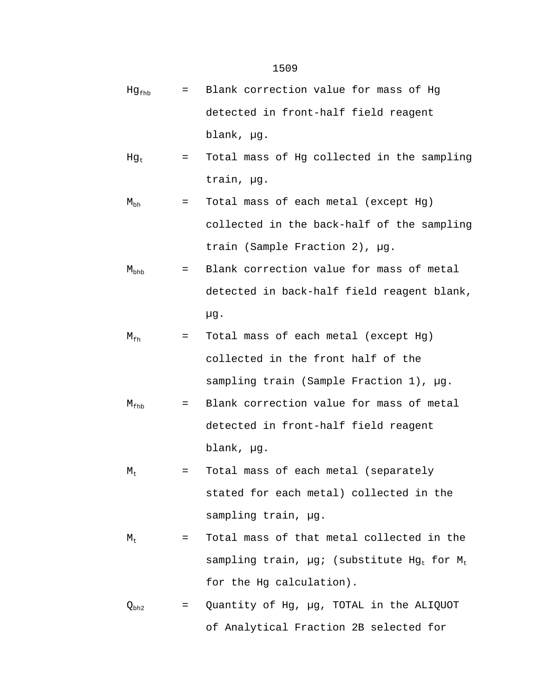- $Hg_{fhh}$  = Blank correction value for mass of Hg detected in front-half field reagent blank, µg.
- $Hg_t$  = Total mass of Hg collected in the sampling train, µg.

$$
M_{bh}
$$
 = Total mass of each metal (except Hg)  
collected in the back-half of the sampling  
train (Sample Fraction 2),  $\mu$ g.

$$
M_{\rm bhb}
$$
 = Blank correction value for mass of metal detected in back-half field reagent blank,  $\mu$ g.

$$
M_{\rm fh}
$$
 = Total mass of each metal (except Hg)  
\ncollected in the front half of the  
\nsampling train (Sample Fraction 1),  $\mu$ g.

$$
M_{\rm fhb} = \text{Blank correction value for mass of metal\ndetected in front-half field reagent\nblank,  $\mu$ g.
$$

- $M_t$  = Total mass of each metal (separately stated for each metal) collected in the sampling train, µg.
- $M_t$  = Total mass of that metal collected in the sampling train,  $\mu g$ ; (substitute Hg<sub>t</sub> for M<sub>t</sub> for the Hg calculation).
- $Q_{bh2}$  = Quantity of Hg,  $\mu$ g, TOTAL in the ALIQUOT of Analytical Fraction 2B selected for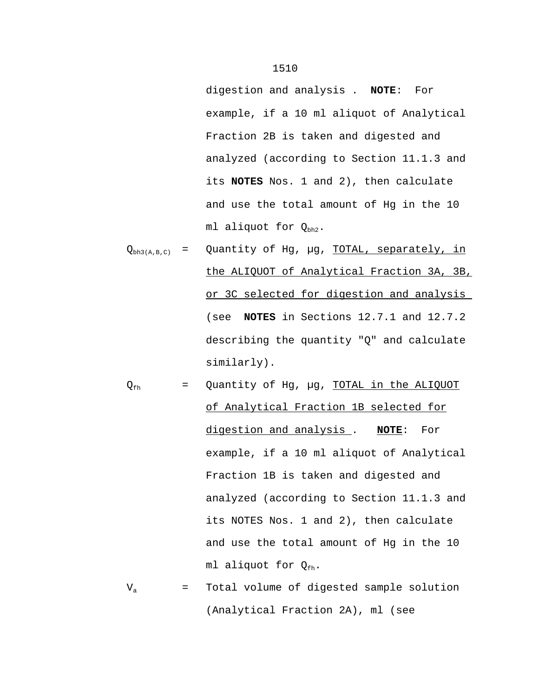digestion and analysis . **NOTE**: For example, if a 10 ml aliquot of Analytical Fraction 2B is taken and digested and analyzed (according to Section 11.1.3 and its **NOTES** Nos. 1 and 2), then calculate and use the total amount of Hg in the 10 ml aliquot for  $Q_{bh2}$ .

- $Q_{bh3(A,B,C)}$  = Quantity of Hg, µg, TOTAL, separately, in the ALIQUOT of Analytical Fraction 3A, 3B, or 3C selected for digestion and analysis (see **NOTES** in Sections 12.7.1 and 12.7.2 describing the quantity "Q" and calculate similarly).
- $Q_{\text{fh}}$  = Quantity of Hg,  $\mu$ g, TOTAL in the ALIQUOT of Analytical Fraction 1B selected for digestion and analysis . **NOTE**: For example, if a 10 ml aliquot of Analytical Fraction 1B is taken and digested and analyzed (according to Section 11.1.3 and its NOTES Nos. 1 and 2), then calculate and use the total amount of Hg in the 10 ml aliquot for  $Q_{\text{fh}}$ .
- $V<sub>a</sub>$  = Total volume of digested sample solution (Analytical Fraction 2A), ml (see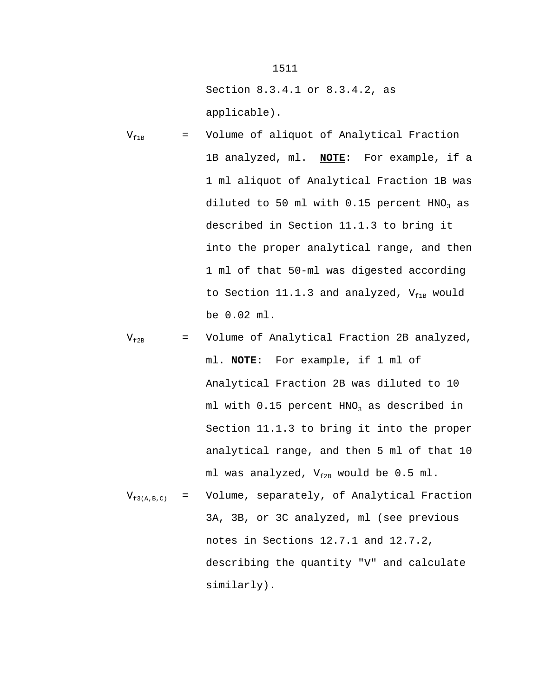Section 8.3.4.1 or 8.3.4.2, as applicable).

- $V_{f1B}$  = Volume of aliquot of Analytical Fraction 1B analyzed, ml. **NOTE**: For example, if a 1 ml aliquot of Analytical Fraction 1B was diluted to 50 ml with  $0.15$  percent HNO<sub>3</sub> as described in Section 11.1.3 to bring it into the proper analytical range, and then 1 ml of that 50-ml was digested according to Section 11.1.3 and analyzed,  $V_{f1B}$  would be 0.02 ml.
- $V_{f2B}$  = Volume of Analytical Fraction 2B analyzed, ml. **NOTE**: For example, if 1 ml of Analytical Fraction 2B was diluted to 10 ml with  $0.15$  percent HNO<sub>3</sub> as described in Section 11.1.3 to bring it into the proper analytical range, and then 5 ml of that 10 ml was analyzed,  $V_{f2B}$  would be 0.5 ml.
- $V_{f3(A,B,C)}$  = Volume, separately, of Analytical Fraction 3A, 3B, or 3C analyzed, ml (see previous notes in Sections 12.7.1 and 12.7.2, describing the quantity "V" and calculate similarly).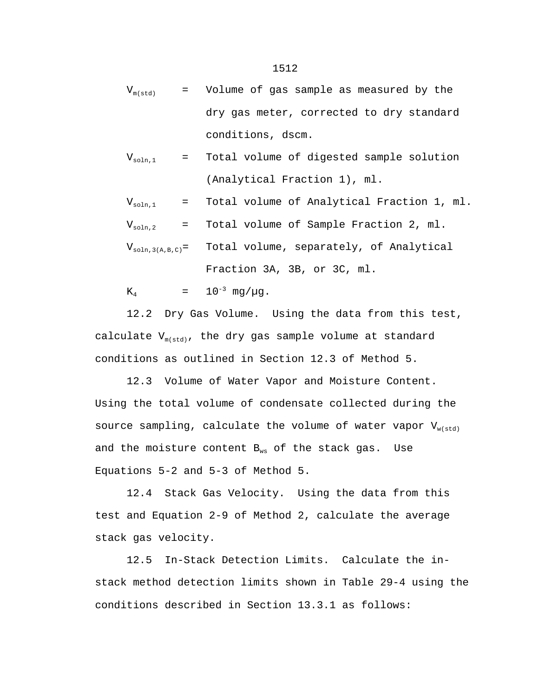$V_{m(std)}$  = Volume of gas sample as measured by the dry gas meter, corrected to dry standard conditions, dscm.

$$
V_{\text{soln},1} = \text{Total volume of digested sample solution}
$$
\n
$$
\text{(Analytical Fraction 1), ml.}
$$

 $V_{\text{soln},1}$  = Total volume of Analytical Fraction 1, ml.

 $V_{\text{soln,2}}$  = Total volume of Sample Fraction 2, ml.

$$
V_{\text{soln,3(A,B,C)}} =
$$
 Total volume, separately, of Analytical  
\nFraction 3A, 3B, or 3C, ml.

 $K_4$  =  $10^{-3}$  mg/ $\mu$ g.

12.2 Dry Gas Volume. Using the data from this test, calculate  $V_{m(std)}$ , the dry gas sample volume at standard conditions as outlined in Section 12.3 of Method 5.

12.3 Volume of Water Vapor and Moisture Content. Using the total volume of condensate collected during the source sampling, calculate the volume of water vapor  $V_{w(std)}$ and the moisture content  $B_{ws}$  of the stack gas. Use Equations 5-2 and 5-3 of Method 5.

12.4 Stack Gas Velocity. Using the data from this test and Equation 2-9 of Method 2, calculate the average stack gas velocity.

12.5 In-Stack Detection Limits. Calculate the instack method detection limits shown in Table 29-4 using the conditions described in Section 13.3.1 as follows: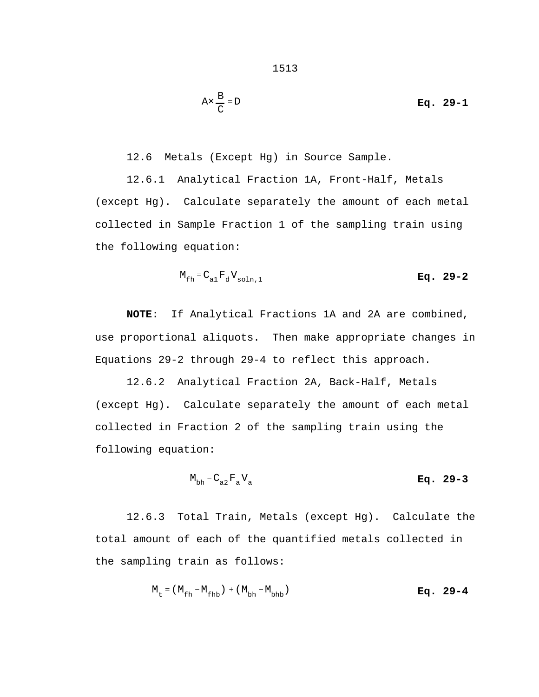$$
Ax \frac{B}{C} = D
$$
 Eq. 29-1

12.6 Metals (Except Hg) in Source Sample.

12.6.1 Analytical Fraction 1A, Front-Half, Metals (except Hg). Calculate separately the amount of each metal collected in Sample Fraction 1 of the sampling train using the following equation:

$$
M_{\text{fh}} = C_{\text{al}} F_{\text{d}} V_{\text{soln},1} \tag{Eq. 29-2}
$$

**NOTE**: If Analytical Fractions 1A and 2A are combined, use proportional aliquots. Then make appropriate changes in Equations 29-2 through 29-4 to reflect this approach.

12.6.2 Analytical Fraction 2A, Back-Half, Metals (except Hg). Calculate separately the amount of each metal collected in Fraction 2 of the sampling train using the following equation:

$$
M_{bh} = C_{a2} F_a V_a
$$
 Eq. 29-3

12.6.3 Total Train, Metals (except Hg). Calculate the total amount of each of the quantified metals collected in the sampling train as follows:

$$
M_{t} = (M_{fh} - M_{fh}) + (M_{bh} - M_{bh})
$$
  
**Eq.** 29-4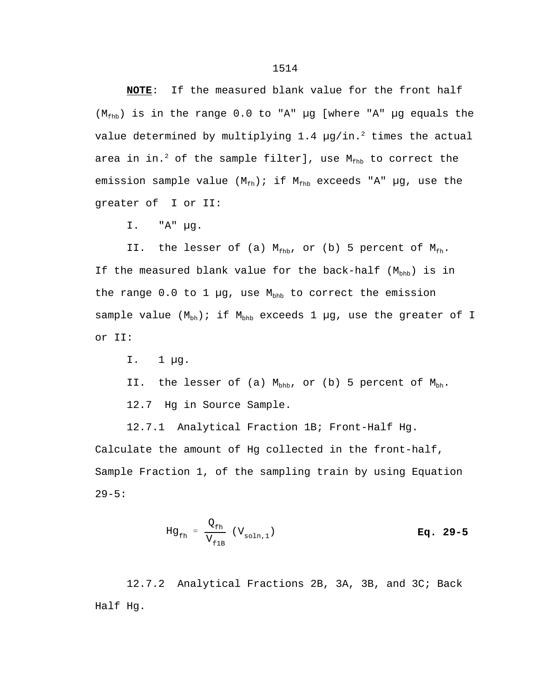**NOTE**: If the measured blank value for the front half  $(M_{fhb})$  is in the range 0.0 to "A" µg [where "A" µg equals the value determined by multiplying  $1.4 \mu g/in.^2$  times the actual area in in.<sup>2</sup> of the sample filter], use  $M_{fhb}$  to correct the emission sample value  $(M_{fh})$ ; if  $M_{fhb}$  exceeds "A" µg, use the greater of I or II:

I. "A" µg.

II. the lesser of (a)  $M_{fhb}$ , or (b) 5 percent of  $M_{fh}$ . If the measured blank value for the back-half  $(M_{\text{bhb}})$  is in the range 0.0 to 1  $\mu$ g, use M<sub>bhb</sub> to correct the emission sample value  $(M_{\text{bh}})$ ; if  $M_{\text{bh}}$  exceeds 1 µg, use the greater of I or II:

I. 1 µg.

II. the lesser of (a)  $M_{\text{bhb}}$ , or (b) 5 percent of  $M_{\text{bh}}$ .

12.7 Hg in Source Sample.

12.7.1 Analytical Fraction 1B; Front-Half Hg. Calculate the amount of Hg collected in the front-half, Sample Fraction 1, of the sampling train by using Equation 29-5:

$$
Hg_{\text{fh}} = \frac{Q_{\text{fh}}}{V_{\text{fib}}} (V_{\text{soln},1})
$$
 Eq. 29-5

12.7.2 Analytical Fractions 2B, 3A, 3B, and 3C; Back Half Hg.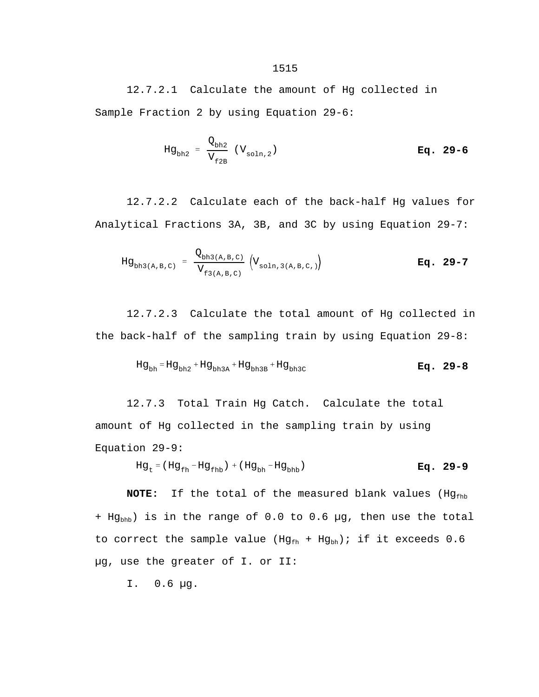12.7.2.1 Calculate the amount of Hg collected in Sample Fraction 2 by using Equation 29-6:

$$
Hg_{bh2} = \frac{Q_{bh2}}{V_{f2B}} (V_{\text{soln},2})
$$
 Eq. 29-6

12.7.2.2 Calculate each of the back-half Hg values for Analytical Fractions 3A, 3B, and 3C by using Equation 29-7:

$$
Hg_{bh3(A,B,C)} = \frac{Q_{bh3(A,B,C)}}{V_{f3(A,B,C)}} \left(V_{\text{soln},3(A,B,C)})\right)
$$
 Eq. 29-7

12.7.2.3 Calculate the total amount of Hg collected in the back-half of the sampling train by using Equation 29-8:

$$
Hg_{bh} = Hg_{bh2} + Hg_{bh3A} + Hg_{bh3B} + Hg_{bh3C}
$$
\n**Eq. 29-8**

12.7.3 Total Train Hg Catch. Calculate the total amount of Hg collected in the sampling train by using Equation 29-9:

$$
Hg_t = (Hg_{fh} - Hg_{fhb}) + (Hg_{bh} - Hg_{bhb})
$$
\n**Eq. 29-9**

**NOTE:** If the total of the measured blank values (Hg<sub>fhb</sub>) +  $Hg_{bhb}$ ) is in the range of 0.0 to 0.6 µg, then use the total to correct the sample value ( $Hg_{fh}$  +  $Hg_{bh}$ ); if it exceeds 0.6 µg, use the greater of I. or II:

I. 0.6 µg.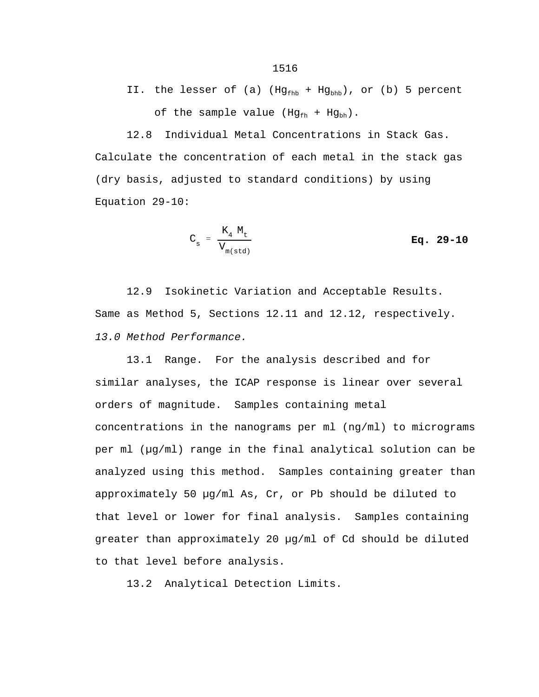12.8 Individual Metal Concentrations in Stack Gas. Calculate the concentration of each metal in the stack gas (dry basis, adjusted to standard conditions) by using Equation 29-10:

$$
C_{s} = \frac{K_{4} M_{t}}{V_{m(std)}} \qquad \qquad \mathbf{Eq. 29-10}
$$

12.9 Isokinetic Variation and Acceptable Results. Same as Method 5, Sections 12.11 and 12.12, respectively. *13.0 Method Performance.*

13.1 Range. For the analysis described and for similar analyses, the ICAP response is linear over several orders of magnitude. Samples containing metal concentrations in the nanograms per ml (ng/ml) to micrograms per ml (µg/ml) range in the final analytical solution can be analyzed using this method. Samples containing greater than approximately 50 µg/ml As, Cr, or Pb should be diluted to that level or lower for final analysis. Samples containing greater than approximately 20 µg/ml of Cd should be diluted to that level before analysis.

13.2 Analytical Detection Limits.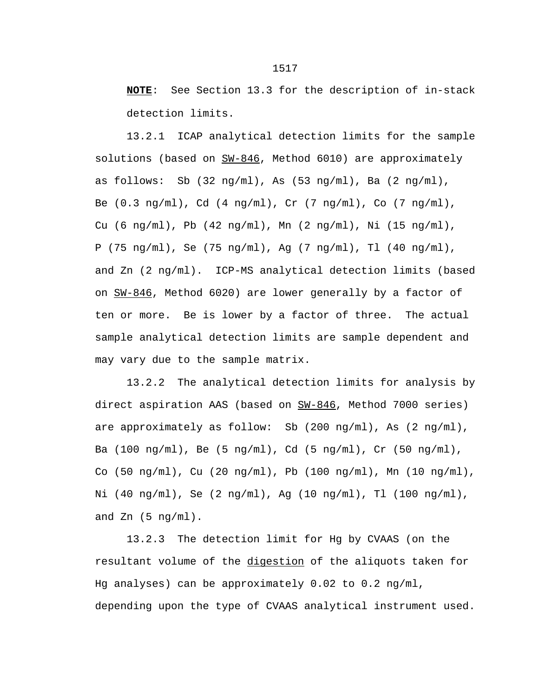**NOTE**: See Section 13.3 for the description of in-stack detection limits.

13.2.1 ICAP analytical detection limits for the sample solutions (based on  $SW-846$ , Method 6010) are approximately as follows: Sb  $(32 \text{ ng/ml})$ , As  $(53 \text{ ng/ml})$ , Ba  $(2 \text{ ng/ml})$ , Be (0.3 ng/ml), Cd (4 ng/ml), Cr (7 ng/ml), Co (7 ng/ml), Cu (6 ng/ml), Pb (42 ng/ml), Mn (2 ng/ml), Ni (15 ng/ml), P (75 ng/ml), Se (75 ng/ml), Ag (7 ng/ml), Tl (40 ng/ml), and Zn (2 ng/ml). ICP-MS analytical detection limits (based on SW-846, Method 6020) are lower generally by a factor of ten or more. Be is lower by a factor of three. The actual sample analytical detection limits are sample dependent and may vary due to the sample matrix.

13.2.2 The analytical detection limits for analysis by direct aspiration AAS (based on SW-846, Method 7000 series) are approximately as follow: Sb (200 ng/ml), As (2 ng/ml), Ba (100 ng/ml), Be (5 ng/ml), Cd (5 ng/ml), Cr (50 ng/ml), Co (50  $\text{ng/ml}$ ), Cu (20  $\text{ng/ml}$ ), Pb (100  $\text{ng/ml}$ ), Mn (10  $\text{ng/ml}$ ),  $Ni (40 ng/ml), Se (2 ng/ml), Ag (10 ng/ml), TI (100 ng/ml),$ and  $Zn$  (5 ng/ml).

13.2.3 The detection limit for Hg by CVAAS (on the resultant volume of the digestion of the aliquots taken for Hg analyses) can be approximately 0.02 to 0.2 ng/ml, depending upon the type of CVAAS analytical instrument used.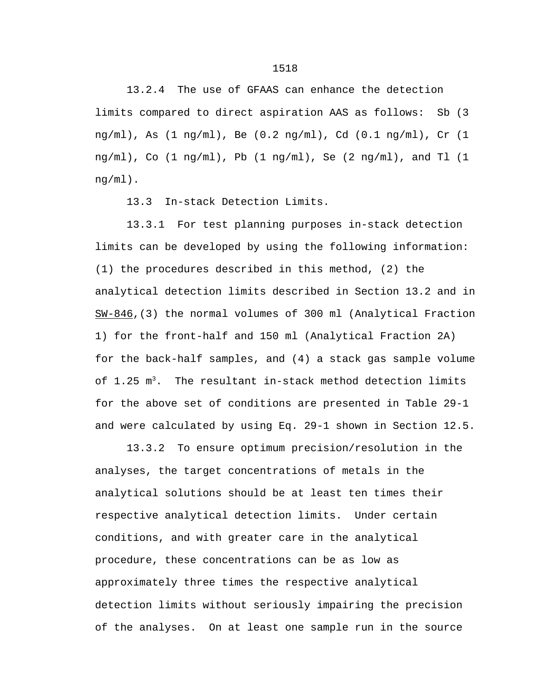13.2.4 The use of GFAAS can enhance the detection limits compared to direct aspiration AAS as follows: Sb (3 ng/ml), As (1 ng/ml), Be (0.2 ng/ml), Cd (0.1 ng/ml), Cr (1 ng/ml), Co (1 ng/ml), Pb (1 ng/ml), Se (2 ng/ml), and Tl (1 ng/ml).

13.3 In-stack Detection Limits.

13.3.1 For test planning purposes in-stack detection limits can be developed by using the following information: (1) the procedures described in this method, (2) the analytical detection limits described in Section 13.2 and in SW-846,(3) the normal volumes of 300 ml (Analytical Fraction 1) for the front-half and 150 ml (Analytical Fraction 2A) for the back-half samples, and (4) a stack gas sample volume of  $1.25 \text{ m}^3$ . The resultant in-stack method detection limits for the above set of conditions are presented in Table 29-1 and were calculated by using Eq. 29-1 shown in Section 12.5.

13.3.2 To ensure optimum precision/resolution in the analyses, the target concentrations of metals in the analytical solutions should be at least ten times their respective analytical detection limits. Under certain conditions, and with greater care in the analytical procedure, these concentrations can be as low as approximately three times the respective analytical detection limits without seriously impairing the precision of the analyses. On at least one sample run in the source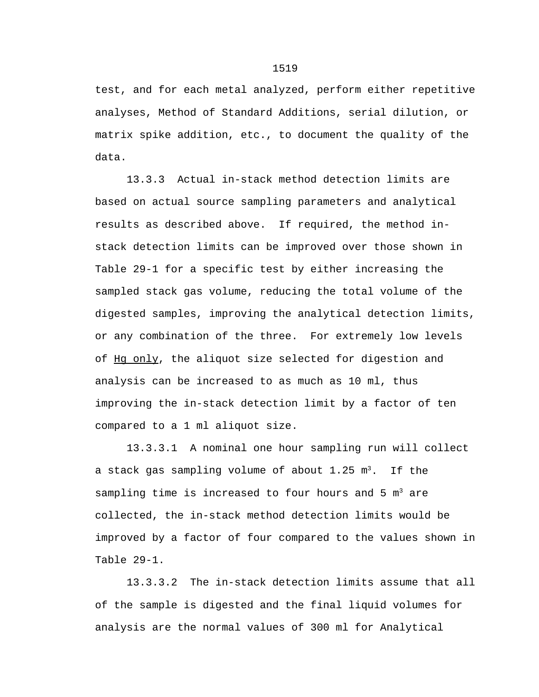test, and for each metal analyzed, perform either repetitive analyses, Method of Standard Additions, serial dilution, or matrix spike addition, etc., to document the quality of the data.

13.3.3 Actual in-stack method detection limits are based on actual source sampling parameters and analytical results as described above. If required, the method instack detection limits can be improved over those shown in Table 29-1 for a specific test by either increasing the sampled stack gas volume, reducing the total volume of the digested samples, improving the analytical detection limits, or any combination of the three. For extremely low levels of Hg only, the aliquot size selected for digestion and analysis can be increased to as much as 10 ml, thus improving the in-stack detection limit by a factor of ten compared to a 1 ml aliquot size.

 13.3.3.1 A nominal one hour sampling run will collect a stack gas sampling volume of about  $1.25 \text{ m}^3$ . If the sampling time is increased to four hours and  $5 \text{ m}^3$  are collected, the in-stack method detection limits would be improved by a factor of four compared to the values shown in Table 29-1.

13.3.3.2 The in-stack detection limits assume that all of the sample is digested and the final liquid volumes for analysis are the normal values of 300 ml for Analytical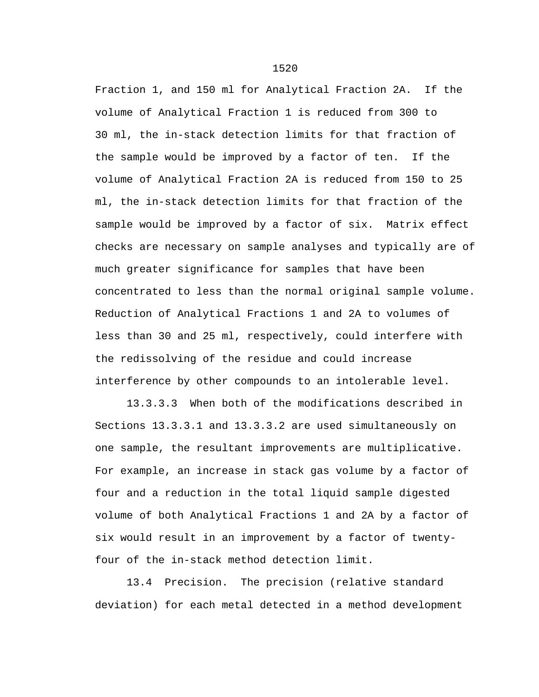Fraction 1, and 150 ml for Analytical Fraction 2A. If the volume of Analytical Fraction 1 is reduced from 300 to 30 ml, the in-stack detection limits for that fraction of the sample would be improved by a factor of ten. If the volume of Analytical Fraction 2A is reduced from 150 to 25 ml, the in-stack detection limits for that fraction of the sample would be improved by a factor of six. Matrix effect checks are necessary on sample analyses and typically are of much greater significance for samples that have been concentrated to less than the normal original sample volume. Reduction of Analytical Fractions 1 and 2A to volumes of less than 30 and 25 ml, respectively, could interfere with the redissolving of the residue and could increase interference by other compounds to an intolerable level.

13.3.3.3 When both of the modifications described in Sections 13.3.3.1 and 13.3.3.2 are used simultaneously on one sample, the resultant improvements are multiplicative. For example, an increase in stack gas volume by a factor of four and a reduction in the total liquid sample digested volume of both Analytical Fractions 1 and 2A by a factor of six would result in an improvement by a factor of twentyfour of the in-stack method detection limit.

13.4 Precision. The precision (relative standard deviation) for each metal detected in a method development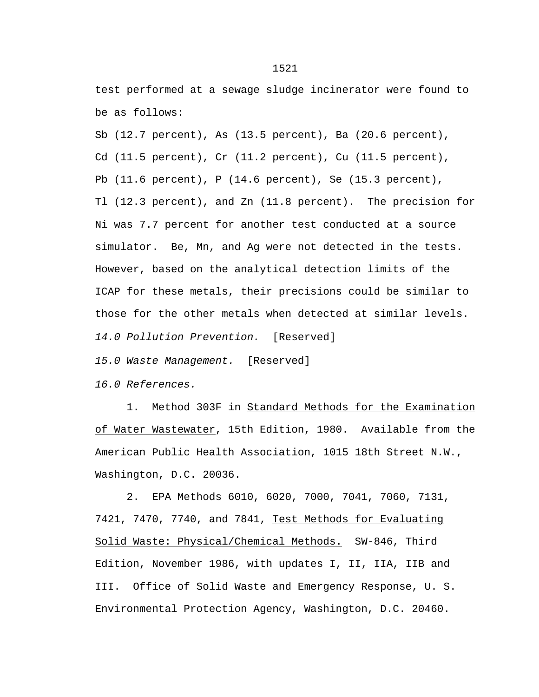test performed at a sewage sludge incinerator were found to be as follows:

Sb (12.7 percent), As (13.5 percent), Ba (20.6 percent), Cd (11.5 percent), Cr (11.2 percent), Cu (11.5 percent), Pb (11.6 percent), P (14.6 percent), Se (15.3 percent), Tl (12.3 percent), and Zn (11.8 percent). The precision for Ni was 7.7 percent for another test conducted at a source simulator. Be, Mn, and Ag were not detected in the tests. However, based on the analytical detection limits of the ICAP for these metals, their precisions could be similar to those for the other metals when detected at similar levels. *14.0 Pollution Prevention.* [Reserved]

*15.0 Waste Management.* [Reserved]

*16.0 References.*

1. Method 303F in Standard Methods for the Examination of Water Wastewater, 15th Edition, 1980. Available from the American Public Health Association, 1015 18th Street N.W., Washington, D.C. 20036.

2. EPA Methods 6010, 6020, 7000, 7041, 7060, 7131, 7421, 7470, 7740, and 7841, Test Methods for Evaluating Solid Waste: Physical/Chemical Methods. SW-846, Third Edition, November 1986, with updates I, II, IIA, IIB and III. Office of Solid Waste and Emergency Response, U. S. Environmental Protection Agency, Washington, D.C. 20460.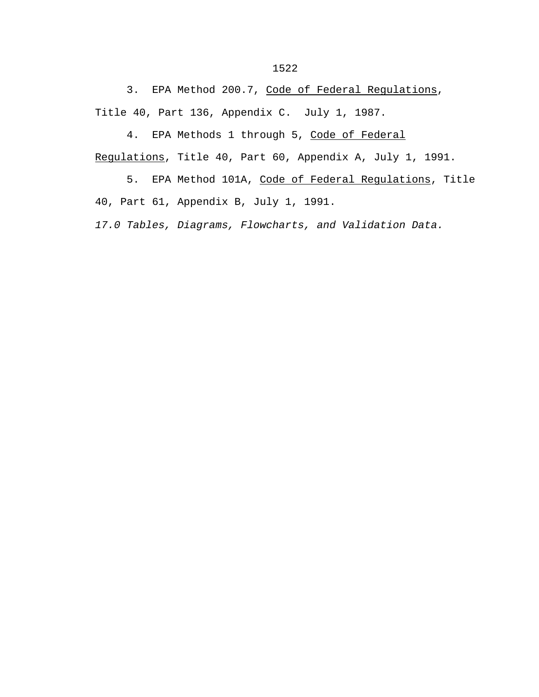3. EPA Method 200.7, Code of Federal Regulations, Title 40, Part 136, Appendix C. July 1, 1987.

4. EPA Methods 1 through 5, Code of Federal

Regulations, Title 40, Part 60, Appendix A, July 1, 1991.

5. EPA Method 101A, Code of Federal Regulations, Title 40, Part 61, Appendix B, July 1, 1991.

*17.0 Tables, Diagrams, Flowcharts, and Validation Data.*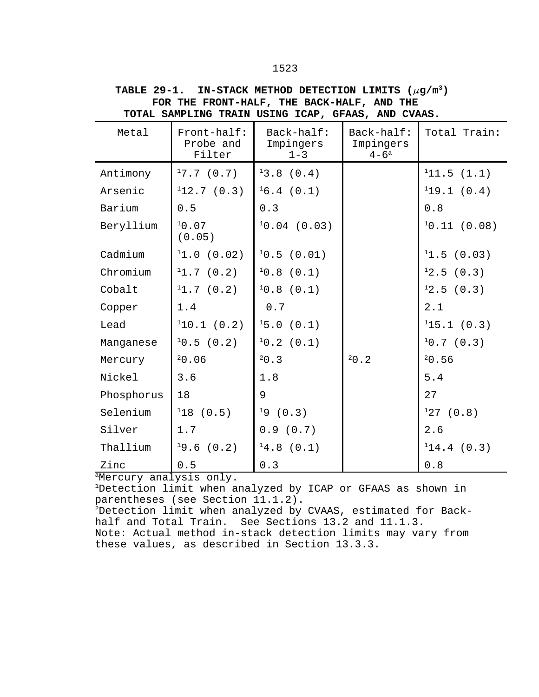| TOTAL SAMPLING TRAIN USING ICAP, GFAAS, AND CVAAS. |                                    |                                    |                                      |              |  |
|----------------------------------------------------|------------------------------------|------------------------------------|--------------------------------------|--------------|--|
| Metal                                              | Front-half:<br>Probe and<br>Filter | Back-half:<br>Impingers<br>$1 - 3$ | Back-half:<br>Impingers<br>$4 - 6^a$ | Total Train: |  |
| Antimony                                           | 17.7(0.7)                          | 13.8(0.4)                          |                                      | 111.5(1.1)   |  |
| Arsenic                                            | 112.7(0.3)                         | 16.4(0.1)                          |                                      | 119.1(0.4)   |  |
| Barium                                             | 0.5                                | 0.3                                |                                      | 0.8          |  |
| Beryllium                                          | 10.07<br>(0.05)                    | $10.04$ (0.03)                     |                                      | 10.11(0.08)  |  |
| Cadmium                                            | 11.0(0.02)                         | 10.5(0.01)                         |                                      | 11.5(0.03)   |  |
| Chromium                                           | 11.7(0.2)                          | 10.8(0.1)                          |                                      | 12.5(0.3)    |  |
| Cobalt                                             | 11.7(0.2)                          | 10.8(0.1)                          |                                      | 12.5(0.3)    |  |
| Copper                                             | 1.4                                | 0.7                                |                                      | 2.1          |  |
| Lead                                               | 110.1(0.2)                         | 15.0(0.1)                          |                                      | 115.1(0.3)   |  |
| Manganese                                          | 10.5(0.2)                          | 10.2(0.1)                          |                                      | 10.7(0.3)    |  |
| Mercury                                            | 20.06                              | 20.3                               | 20.2                                 | 20.56        |  |
| Nickel                                             | 3.6                                | 1.8                                |                                      | 5.4          |  |
| Phosphorus                                         | 18                                 | 9                                  |                                      | 27           |  |
| Selenium                                           | 118(0.5)                           | 19(0.3)                            |                                      | 127(0.8)     |  |
| Silver                                             | 1.7                                | 0.9(0.7)                           |                                      | 2.6          |  |
| Thallium                                           | (0.2)<br>19.6                      | 14.8(0.1)                          |                                      | 114.4(0.3)   |  |
| Zinc                                               | 0.5                                | 0.3                                |                                      | 0.8          |  |

**TABLE 29-1. IN-STACK METHOD DETECTION LIMITS**  $(\mu g/m^3)$ **FOR THE FRONT-HALF, THE BACK-HALF, AND THE**

aMercury analysis only.

<sup>1</sup>Detection limit when analyzed by ICAP or GFAAS as shown in parentheses (see Section 11.1.2).

2Detection limit when analyzed by CVAAS, estimated for Backhalf and Total Train. See Sections 13.2 and 11.1.3. Note: Actual method in-stack detection limits may vary from these values, as described in Section 13.3.3.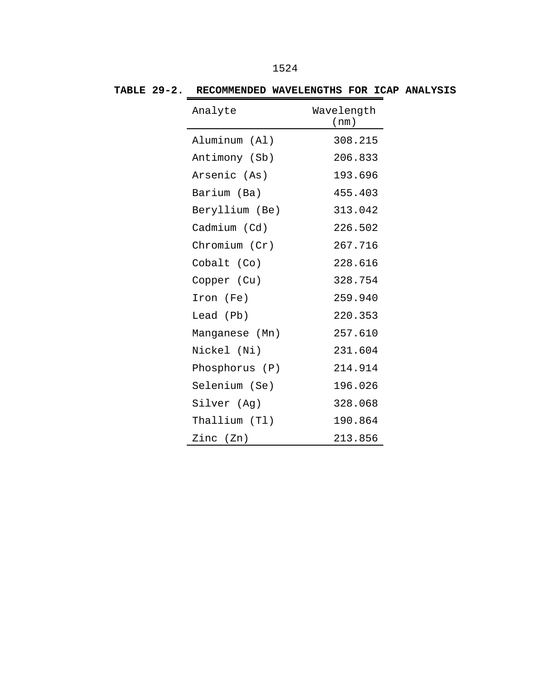| Analyte        | Wavelength<br>(nm) |
|----------------|--------------------|
| Aluminum (Al)  | 308.215            |
| Antimony (Sb)  | 206.833            |
| Arsenic (As)   | 193.696            |
| Barium (Ba)    | 455.403            |
| Beryllium (Be) | 313.042            |
| Cadmium (Cd)   | 226.502            |
| Chromium (Cr)  | 267.716            |
| Cobalt (Co)    | 228.616            |
| Copper (Cu)    | 328.754            |
| Iron (Fe)      | 259.940            |
| Lead (Pb)      | 220.353            |
| Manganese (Mn) | 257.610            |
| Nickel (Ni)    | 231.604            |
| Phosphorus (P) | 214.914            |
| Selenium (Se)  | 196.026            |
| Silver (Ag)    | 328.068            |
| Thallium (Tl)  | 190.864            |
| Zinc (Zn)      | 213.856            |

**TABLE 29-2. RECOMMENDED WAVELENGTHS FOR ICAP ANALYSIS**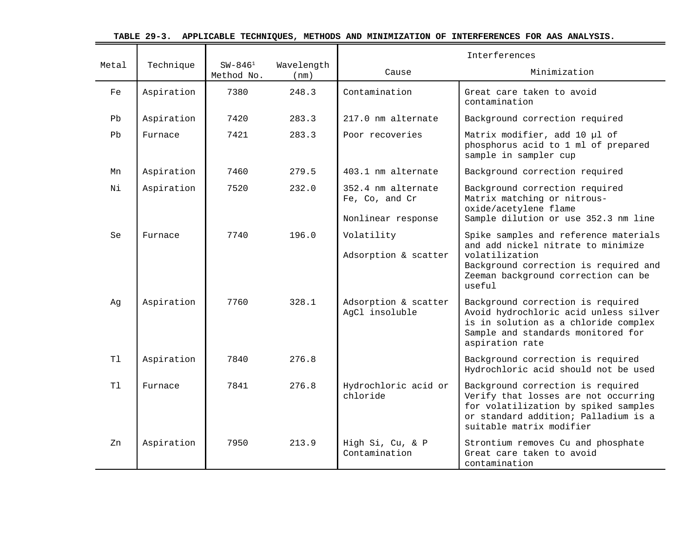| TABLE 29-3. APPLICABLE TECHNIQUES, METHODS AND MINIMIZATION OF INTERFERENCES FOR AAS ANALYSIS. |  |  |  |  |  |
|------------------------------------------------------------------------------------------------|--|--|--|--|--|
|------------------------------------------------------------------------------------------------|--|--|--|--|--|

 $\equiv$ 

|       |            |                            |                    | Interferences                          |                                                                                                                                                                                         |
|-------|------------|----------------------------|--------------------|----------------------------------------|-----------------------------------------------------------------------------------------------------------------------------------------------------------------------------------------|
| Metal | Technique  | $SW - 846^1$<br>Method No. | Wavelength<br>(nm) | Cause                                  | Minimization                                                                                                                                                                            |
| Fe    | Aspiration | 7380                       | 248.3              | Contamination                          | Great care taken to avoid<br>contamination                                                                                                                                              |
| Pb    | Aspiration | 7420                       | 283.3              | 217.0 nm alternate                     | Background correction required                                                                                                                                                          |
| Pb    | Furnace    | 7421                       | 283.3              | Poor recoveries                        | Matrix modifier, add 10 µl of<br>phosphorus acid to 1 ml of prepared<br>sample in sampler cup                                                                                           |
| Mn    | Aspiration | 7460                       | 279.5              | 403.1 nm alternate                     | Background correction required                                                                                                                                                          |
| Νi    | Aspiration | 7520                       | 232.0              | 352.4 nm alternate<br>Fe, Co, and Cr   | Background correction required<br>Matrix matching or nitrous-<br>oxide/acetylene flame                                                                                                  |
|       |            |                            |                    | Nonlinear response                     | Sample dilution or use 352.3 nm line                                                                                                                                                    |
| Se    | Furnace    | 7740                       | 196.0              | Volatility<br>Adsorption & scatter     | Spike samples and reference materials<br>and add nickel nitrate to minimize<br>volatilization<br>Background correction is required and<br>Zeeman background correction can be<br>useful |
| Ag    | Aspiration | 7760                       | 328.1              | Adsorption & scatter<br>AgCl insoluble | Background correction is required<br>Avoid hydrochloric acid unless silver<br>is in solution as a chloride complex<br>Sample and standards monitored for<br>aspiration rate             |
| Tl    | Aspiration | 7840                       | 276.8              |                                        | Background correction is required<br>Hydrochloric acid should not be used                                                                                                               |
| Tl    | Furnace    | 7841                       | 276.8              | Hydrochloric acid or<br>chloride       | Background correction is required<br>Verify that losses are not occurring<br>for volatilization by spiked samples<br>or standard addition; Palladium is a<br>suitable matrix modifier   |
| Zn    | Aspiration | 7950                       | 213.9              | High Si, Cu, & P<br>Contamination      | Strontium removes Cu and phosphate<br>Great care taken to avoid<br>contamination                                                                                                        |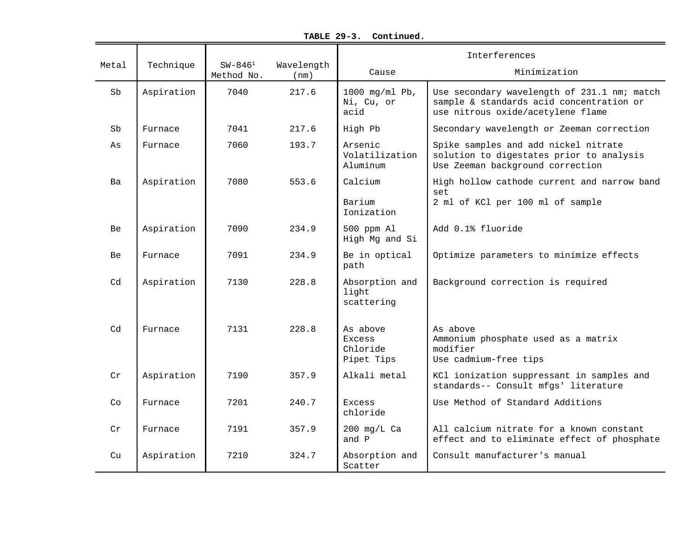|            |            |                            |                    | Interferences                                |                                                                                                                              |
|------------|------------|----------------------------|--------------------|----------------------------------------------|------------------------------------------------------------------------------------------------------------------------------|
| Metal      | Technique  | $SW - 846^1$<br>Method No. | Wavelength<br>(nm) | Cause                                        | Minimization                                                                                                                 |
| Sb         | Aspiration | 7040                       | 217.6              | 1000 mg/ml $Pb$ ,<br>Ni, Cu, or<br>acid      | Use secondary wavelength of 231.1 nm; match<br>sample & standards acid concentration or<br>use nitrous oxide/acetylene flame |
| ${\tt Sb}$ | Furnace    | 7041                       | 217.6              | High Pb                                      | Secondary wavelength or Zeeman correction                                                                                    |
| As         | Furnace    | 7060                       | 193.7              | Arsenic<br>Volatilization<br>Aluminum        | Spike samples and add nickel nitrate<br>solution to digestates prior to analysis<br>Use Zeeman background correction         |
| Ba         | Aspiration | 7080                       | 553.6              | Calcium                                      | High hollow cathode current and narrow band                                                                                  |
|            |            |                            |                    | Barium<br>Ionization                         | set<br>2 ml of KCl per 100 ml of sample                                                                                      |
| <b>Be</b>  | Aspiration | 7090                       | 234.9              | 500 ppm Al<br>High Mg and Si                 | Add 0.1% fluoride                                                                                                            |
| Be         | Furnace    | 7091                       | 234.9              | Be in optical<br>path                        | Optimize parameters to minimize effects                                                                                      |
| Cd         | Aspiration | 7130                       | 228.8              | Absorption and<br>light<br>scattering        | Background correction is required                                                                                            |
| Cd         | Furnace    | 7131                       | 228.8              | As above<br>Excess<br>Chloride<br>Pipet Tips | As above<br>Ammonium phosphate used as a matrix<br>modifier<br>Use cadmium-free tips                                         |
| Cr         | Aspiration | 7190                       | 357.9              | Alkali metal                                 | KCl ionization suppressant in samples and<br>standards-- Consult mfgs' literature                                            |
| Co         | Furnace    | 7201                       | 240.7              | Excess<br>chloride                           | Use Method of Standard Additions                                                                                             |
| Cr         | Furnace    | 7191                       | 357.9              | $200$ mg/L Ca<br>and P                       | All calcium nitrate for a known constant<br>effect and to eliminate effect of phosphate                                      |
| Cu         | Aspiration | 7210                       | 324.7              | Absorption and<br>Scatter                    | Consult manufacturer's manual                                                                                                |

**TABLE 29-3. Continued.**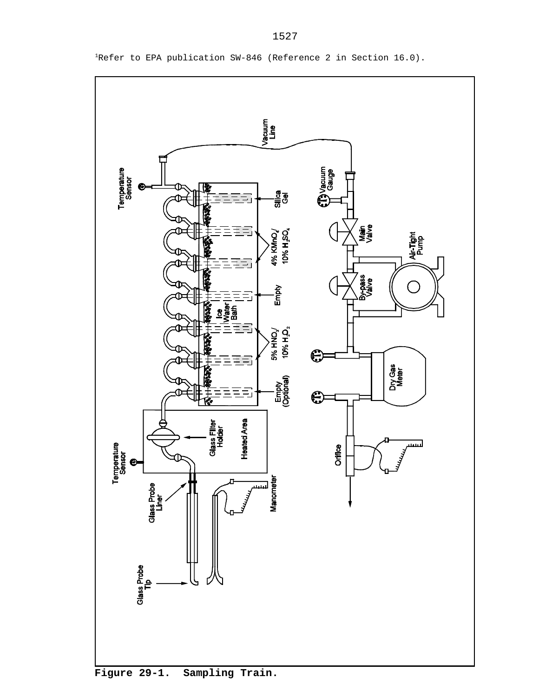

<sup>1</sup>Refer to EPA publication SW-846 (Reference 2 in Section 16.0).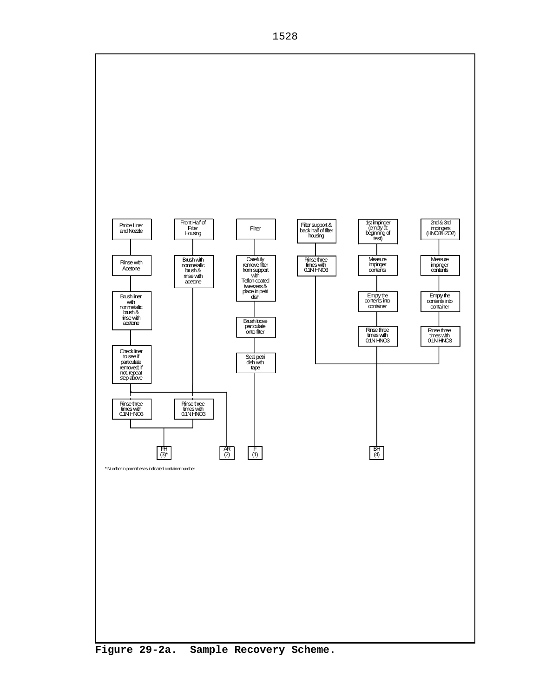

**Figure 29-2a. Sample Recovery Scheme.**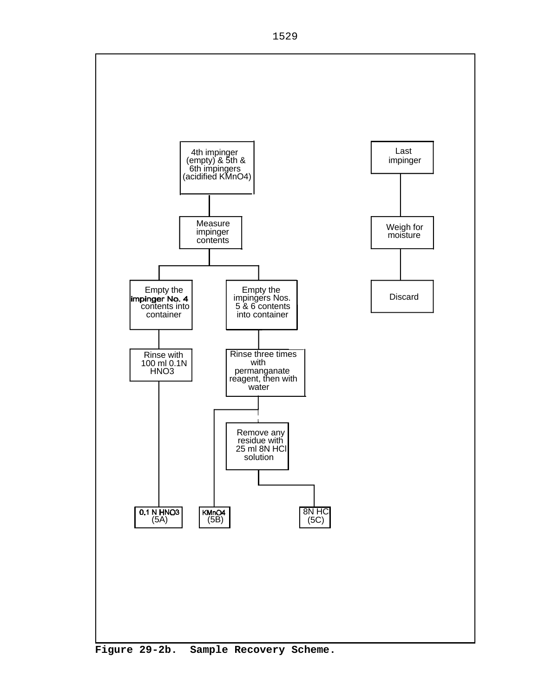

**Figure 29-2b. Sample Recovery Scheme.**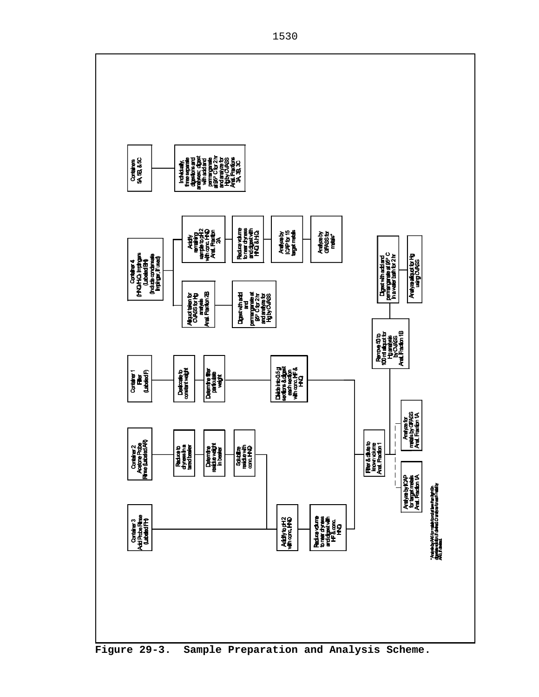

**Figure 29-3. Sample Preparation and Analysis Scheme.**